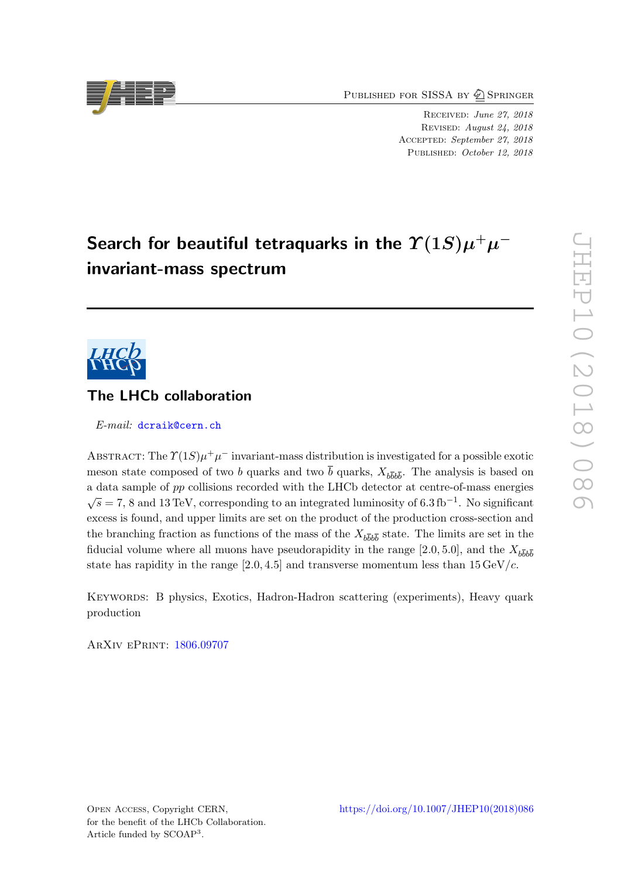PUBLISHED FOR SISSA BY 2 SPRINGER

Received: June 27, 2018 Revised: August 24, 2018 ACCEPTED: September 27, 2018 PUBLISHED: October 12, 2018

# Search for beautiful tetraquarks in the  $\varUpsilon(1S)\mu^+\mu^$ invariant-mass spectrum



# The LHCb collaboration

E-mail: [dcraik@cern.ch](mailto:dcraik@cern.ch)

ABSTRACT: The  $\Upsilon(1S)\mu^+\mu^-$  invariant-mass distribution is investigated for a possible exotic meson state composed of two b quarks and two b quarks,  $X_{b\bar{b}b\bar{b}}$ . The analysis is based on a data sample of pp collisions recorded with the LHCb detector at centre-of-mass energies  $\overline{s} = 7, 8$  and 13 TeV, corresponding to an integrated luminosity of 6.3 fb<sup>-1</sup>. No significant excess is found, and upper limits are set on the product of the production cross-section and the branching fraction as functions of the mass of the  $X_{b\bar{b}b\bar{b}}$  state. The limits are set in the fiducial volume where all muons have pseudorapidity in the range [2.0, 5.0], and the  $X_{b\bar{b}b\bar{b}}$ state has rapidity in the range  $[2.0, 4.5]$  and transverse momentum less than  $15 \,\mathrm{GeV}/c$ .

Keywords: B physics, Exotics, Hadron-Hadron scattering (experiments), Heavy quark production

ArXiv ePrint: [1806.09707](https://arxiv.org/abs/1806.09707)

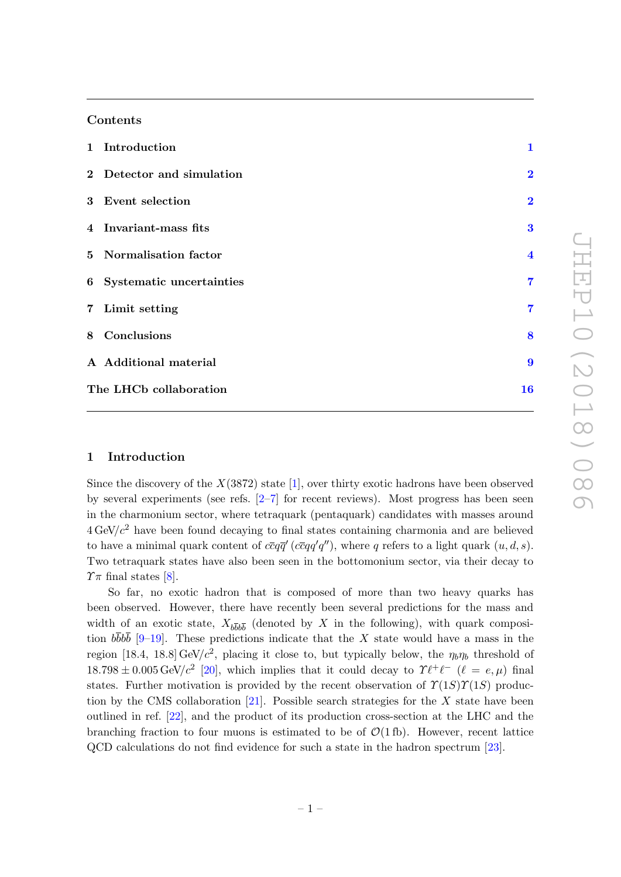# Contents

| 1 Introduction             | $\mathbf{1}$            |
|----------------------------|-------------------------|
| 2 Detector and simulation  | $\overline{\mathbf{2}}$ |
| 3 Event selection          | $\overline{2}$          |
| 4 Invariant-mass fits      | 3                       |
| 5 Normalisation factor     | $\overline{\mathbf{4}}$ |
| 6 Systematic uncertainties | 7                       |
| 7 Limit setting            | $\overline{7}$          |
| 8 Conclusions              | 8                       |
| A Additional material      | 9                       |
| The LHCb collaboration     | 16                      |

#### <span id="page-1-0"></span>1 Introduction

Since the discovery of the  $X(3872)$  state [\[1\]](#page-13-0), over thirty exotic hadrons have been observed by several experiments (see refs.  $[2-7]$  $[2-7]$  for recent reviews). Most progress has been seen in the charmonium sector, where tetraquark (pentaquark) candidates with masses around  $4 \text{ GeV}/c^2$  have been found decaying to final states containing charmonia and are believed to have a minimal quark content of  $c\bar{c}q\bar{q}'$  ( $c\bar{c}qq'q'$ ), where q refers to a light quark  $(u, d, s)$ . Two tetraquark states have also been seen in the bottomonium sector, via their decay to  $\gamma_{\pi}$  final states [\[8\]](#page-13-3).

So far, no exotic hadron that is composed of more than two heavy quarks has been observed. However, there have recently been several predictions for the mass and width of an exotic state,  $X_{b\bar{b}b\bar{b}}$  (denoted by X in the following), with quark composition  $b\bar{b}b\bar{b}$  [\[9](#page-13-4)[–19\]](#page-14-0). These predictions indicate that the X state would have a mass in the region [18.4, 18.8] GeV/ $c^2$ , placing it close to, but typically below, the  $\eta_b\eta_b$  threshold of  $18.798 \pm 0.005 \,\text{GeV}/c^2$  [\[20\]](#page-14-1), which implies that it could decay to  $\Upsilon \ell^+ \ell^-$  ( $\ell = e, \mu$ ) final states. Further motivation is provided by the recent observation of  $\Upsilon(1S)\Upsilon(1S)$  produc-tion by the CMS collaboration [\[21\]](#page-14-2). Possible search strategies for the  $X$  state have been outlined in ref. [\[22\]](#page-14-3), and the product of its production cross-section at the LHC and the branching fraction to four muons is estimated to be of  $\mathcal{O}(1 \text{ fb})$ . However, recent lattice QCD calculations do not find evidence for such a state in the hadron spectrum [\[23\]](#page-14-4).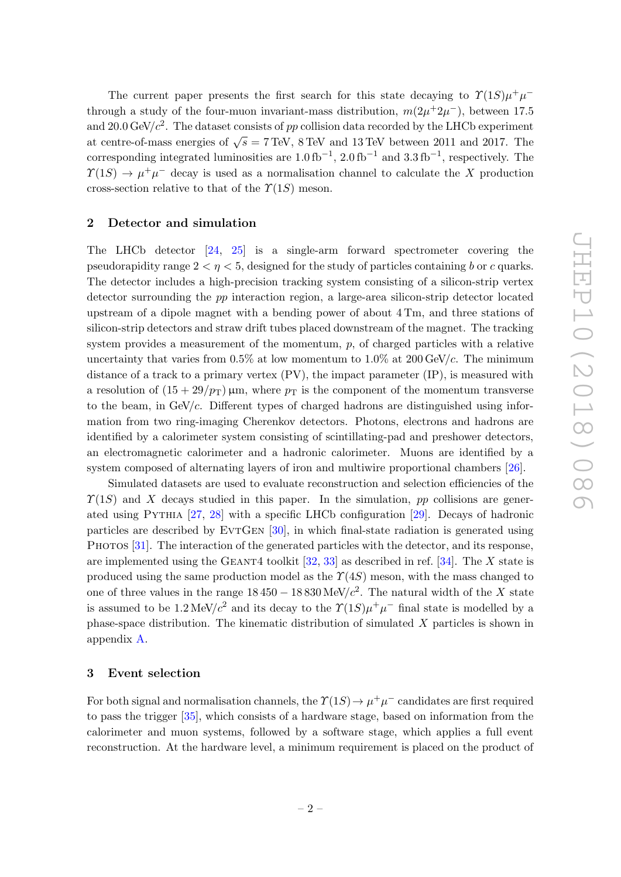The current paper presents the first search for this state decaying to  $\Upsilon(1S)\mu^+\mu^$ through a study of the four-muon invariant-mass distribution,  $m(2\mu^+ 2\mu^-)$ , between 17.5 and 20.0 GeV/ $c^2$ . The dataset consists of pp collision data recorded by the LHCb experiment and 2010  $\sigma$ ( $\sigma$ ) is the distance complete of  $p$  completed and to correct by the EHCD experiments at centre-of-mass energies of  $\sqrt{s} = 7$  TeV, 8 TeV and 13 TeV between 2011 and 2017. The corresponding integrated luminosities are  $1.0 \text{ fb}^{-1}$ ,  $2.0 \text{ fb}^{-1}$  and  $3.3 \text{ fb}^{-1}$ , respectively. The  $\Upsilon(1S) \to \mu^+\mu^-$  decay is used as a normalisation channel to calculate the X production cross-section relative to that of the  $\Upsilon(1S)$  meson.

### <span id="page-2-0"></span>2 Detector and simulation

The LHCb detector [\[24,](#page-14-5) [25\]](#page-14-6) is a single-arm forward spectrometer covering the pseudorapidity range  $2 < \eta < 5$ , designed for the study of particles containing b or c quarks. The detector includes a high-precision tracking system consisting of a silicon-strip vertex detector surrounding the pp interaction region, a large-area silicon-strip detector located upstream of a dipole magnet with a bending power of about 4 Tm, and three stations of silicon-strip detectors and straw drift tubes placed downstream of the magnet. The tracking system provides a measurement of the momentum,  $p$ , of charged particles with a relative uncertainty that varies from  $0.5\%$  at low momentum to  $1.0\%$  at  $200 \text{ GeV}/c$ . The minimum distance of a track to a primary vertex  $(PV)$ , the impact parameter  $IP$ ), is measured with a resolution of  $(15 + 29/p_T)$  µm, where  $p_T$  is the component of the momentum transverse to the beam, in  $GeV/c$ . Different types of charged hadrons are distinguished using information from two ring-imaging Cherenkov detectors. Photons, electrons and hadrons are identified by a calorimeter system consisting of scintillating-pad and preshower detectors, an electromagnetic calorimeter and a hadronic calorimeter. Muons are identified by a system composed of alternating layers of iron and multiwire proportional chambers [\[26\]](#page-14-7).

Simulated datasets are used to evaluate reconstruction and selection efficiencies of the  $\Upsilon(1S)$  and X decays studied in this paper. In the simulation, pp collisions are generated using Pythia [\[27,](#page-14-8) [28\]](#page-14-9) with a specific LHCb configuration [\[29\]](#page-14-10). Decays of hadronic particles are described by EVTGEN [\[30\]](#page-14-11), in which final-state radiation is generated using PHOTOS [\[31\]](#page-14-12). The interaction of the generated particles with the detector, and its response, are implemented using the GEANT4 toolkit  $[32, 33]$  $[32, 33]$  $[32, 33]$  as described in ref.  $[34]$ . The X state is produced using the same production model as the  $\Upsilon(4S)$  meson, with the mass changed to one of three values in the range  $18\,450 - 18\,830 \,\text{MeV}/c^2$ . The natural width of the X state is assumed to be 1.2 MeV/ $c^2$  and its decay to the  $\Upsilon(1S)\mu^+\mu^-$  final state is modelled by a phase-space distribution. The kinematic distribution of simulated X particles is shown in appendix [A.](#page-9-0)

#### <span id="page-2-1"></span>3 Event selection

For both signal and normalisation channels, the  $\Upsilon(1S) \to \mu^+ \mu^-$  candidates are first required to pass the trigger [\[35\]](#page-14-16), which consists of a hardware stage, based on information from the calorimeter and muon systems, followed by a software stage, which applies a full event reconstruction. At the hardware level, a minimum requirement is placed on the product of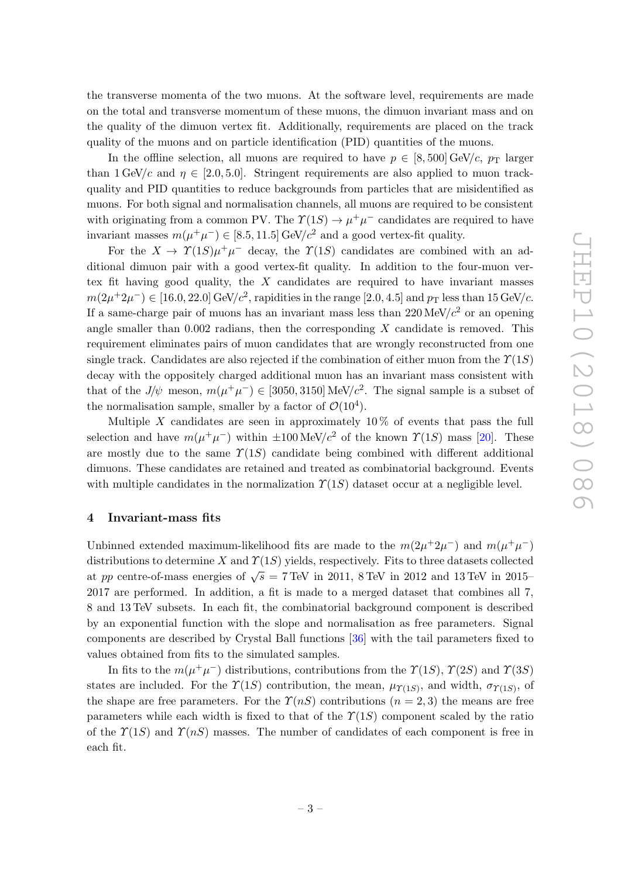the transverse momenta of the two muons. At the software level, requirements are made on the total and transverse momentum of these muons, the dimuon invariant mass and on the quality of the dimuon vertex fit. Additionally, requirements are placed on the track quality of the muons and on particle identification (PID) quantities of the muons.

In the offline selection, all muons are required to have  $p \in [8, 500]$  GeV/c,  $p_T$  larger than  $1 \text{ GeV}/c$  and  $\eta \in [2.0, 5.0]$ . Stringent requirements are also applied to muon trackquality and PID quantities to reduce backgrounds from particles that are misidentified as muons. For both signal and normalisation channels, all muons are required to be consistent with originating from a common PV. The  $\Upsilon(1S) \to \mu^+ \mu^-$  candidates are required to have invariant masses  $m(\mu^+\mu^-) \in [8.5, 11.5] \,\text{GeV}/c^2$  and a good vertex-fit quality.

For the  $X \to \Upsilon(1S)\mu^{+}\mu^{-}$  decay, the  $\Upsilon(1S)$  candidates are combined with an additional dimuon pair with a good vertex-fit quality. In addition to the four-muon vertex fit having good quality, the  $X$  candidates are required to have invariant masses  $m(2\mu^+2\mu^-) \in [16.0, 22.0] \,\text{GeV}/c^2$ , rapidities in the range  $[2.0, 4.5]$  and  $p_\text{T}$  less than 15 GeV/c. If a same-charge pair of muons has an invariant mass less than  $220 \,\text{MeV}/c^2$  or an opening angle smaller than  $0.002$  radians, then the corresponding X candidate is removed. This requirement eliminates pairs of muon candidates that are wrongly reconstructed from one single track. Candidates are also rejected if the combination of either muon from the  $\Upsilon(1S)$ decay with the oppositely charged additional muon has an invariant mass consistent with that of the  $J/\psi$  meson,  $m(\mu^+\mu^-) \in [3050, 3150] \text{ MeV}/c^2$ . The signal sample is a subset of the normalisation sample, smaller by a factor of  $\mathcal{O}(10^4)$ .

Multiple X candidates are seen in approximately  $10\%$  of events that pass the full selection and have  $m(\mu^+\mu^-)$  within  $\pm 100 \,\text{MeV}/c^2$  of the known  $\Upsilon(1S)$  mass [\[20\]](#page-14-1). These are mostly due to the same  $\Upsilon(1S)$  candidate being combined with different additional dimuons. These candidates are retained and treated as combinatorial background. Events with multiple candidates in the normalization  $\Upsilon(1S)$  dataset occur at a negligible level.

## <span id="page-3-0"></span>4 Invariant-mass fits

Unbinned extended maximum-likelihood fits are made to the  $m(2\mu^+ 2\mu^-)$  and  $m(\mu^+ \mu^-)$ distributions to determine X and  $\Upsilon(1S)$  yields, respectively. Fits to three datasets collected at pp centre-of-mass energies of  $\sqrt{s}$  = 7 TeV in 2011, 8 TeV in 2012 and 13 TeV in 2015– 2017 are performed. In addition, a fit is made to a merged dataset that combines all 7, 8 and 13 TeV subsets. In each fit, the combinatorial background component is described by an exponential function with the slope and normalisation as free parameters. Signal components are described by Crystal Ball functions [\[36\]](#page-14-17) with the tail parameters fixed to values obtained from fits to the simulated samples.

In fits to the  $m(\mu^+\mu^-)$  distributions, contributions from the  $\Upsilon(1S)$ ,  $\Upsilon(2S)$  and  $\Upsilon(3S)$ states are included. For the  $\Upsilon(1S)$  contribution, the mean,  $\mu_{\Upsilon(1S)}$ , and width,  $\sigma_{\Upsilon(1S)}$ , of the shape are free parameters. For the  $\Upsilon(nS)$  contributions  $(n = 2, 3)$  the means are free parameters while each width is fixed to that of the  $\Upsilon(1S)$  component scaled by the ratio of the  $\Upsilon(1S)$  and  $\Upsilon(nS)$  masses. The number of candidates of each component is free in each fit.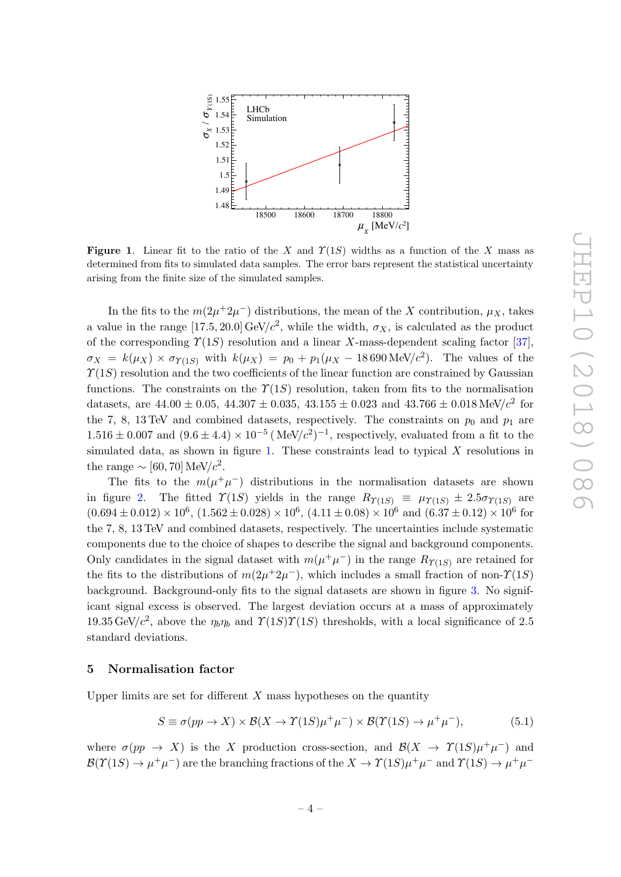

<span id="page-4-1"></span>**Figure 1.** Linear fit to the ratio of the X and  $\Upsilon(1S)$  widths as a function of the X mass as determined from fits to simulated data samples. The error bars represent the statistical uncertainty arising from the finite size of the simulated samples.

In the fits to the  $m(2\mu^+2\mu^-)$  distributions, the mean of the X contribution,  $\mu_X$ , takes a value in the range [17.5, 20.0] GeV/ $c^2$ , while the width,  $\sigma_X$ , is calculated as the product of the corresponding  $\Upsilon(1S)$  resolution and a linear X-mass-dependent scaling factor [\[37\]](#page-14-18),  $\sigma_X = k(\mu_X) \times \sigma_{\Upsilon(1S)}$  with  $k(\mu_X) = p_0 + p_1(\mu_X - 18690 \,\text{MeV}/c^2)$ . The values of the  $\Upsilon(1S)$  resolution and the two coefficients of the linear function are constrained by Gaussian functions. The constraints on the  $\Upsilon(1S)$  resolution, taken from fits to the normalisation datasets, are  $44.00 \pm 0.05$ ,  $44.307 \pm 0.035$ ,  $43.155 \pm 0.023$  and  $43.766 \pm 0.018 \,\text{MeV}/c^2$  for the 7, 8, 13 TeV and combined datasets, respectively. The constraints on  $p_0$  and  $p_1$  are  $1.516 \pm 0.007$  and  $(9.6 \pm 4.4) \times 10^{-5}$  (MeV/ $c^2$ )<sup>-1</sup>, respectively, evaluated from a fit to the simulated data, as shown in figure [1.](#page-4-1) These constraints lead to typical  $X$  resolutions in the range  $\sim$  [60, 70] MeV/ $c^2$ .

The fits to the  $m(\mu^+\mu^-)$  distributions in the normalisation datasets are shown in figure [2.](#page-5-0) The fitted  $\Upsilon(1S)$  yields in the range  $R_{\Upsilon(1S)} \equiv \mu_{\Upsilon(1S)} \pm 2.5 \sigma_{\Upsilon(1S)}$  are  $(0.694 \pm 0.012) \times 10^6$ ,  $(1.562 \pm 0.028) \times 10^6$ ,  $(4.11 \pm 0.08) \times 10^6$  and  $(6.37 \pm 0.12) \times 10^6$  for the 7, 8, 13 TeV and combined datasets, respectively. The uncertainties include systematic components due to the choice of shapes to describe the signal and background components. Only candidates in the signal dataset with  $m(\mu^+\mu^-)$  in the range  $R_{\Upsilon(1S)}$  are retained for the fits to the distributions of  $m(2\mu^+ 2\mu^-)$ , which includes a small fraction of non- $\Upsilon(1S)$ background. Background-only fits to the signal datasets are shown in figure [3.](#page-6-0) No significant signal excess is observed. The largest deviation occurs at a mass of approximately 19.35 GeV/ $c^2$ , above the  $\eta_b\eta_b$  and  $\Upsilon(1S)\Upsilon(1S)$  thresholds, with a local significance of 2.5 standard deviations.

#### <span id="page-4-0"></span>5 Normalisation factor

Upper limits are set for different  $X$  mass hypotheses on the quantity

$$
S \equiv \sigma(pp \to X) \times \mathcal{B}(X \to \Upsilon(1S)\mu^{+}\mu^{-}) \times \mathcal{B}(\Upsilon(1S) \to \mu^{+}\mu^{-}), \tag{5.1}
$$

where  $\sigma(pp \to X)$  is the X production cross-section, and  $\mathcal{B}(X \to \Upsilon(1S)\mu^+\mu^-)$  and  $\mathcal{B}(\Upsilon(1S) \to \mu^+\mu^-)$  are the branching fractions of the  $X \to \Upsilon(1S)\mu^+\mu^-$  and  $\Upsilon(1S) \to \mu^+\mu^-$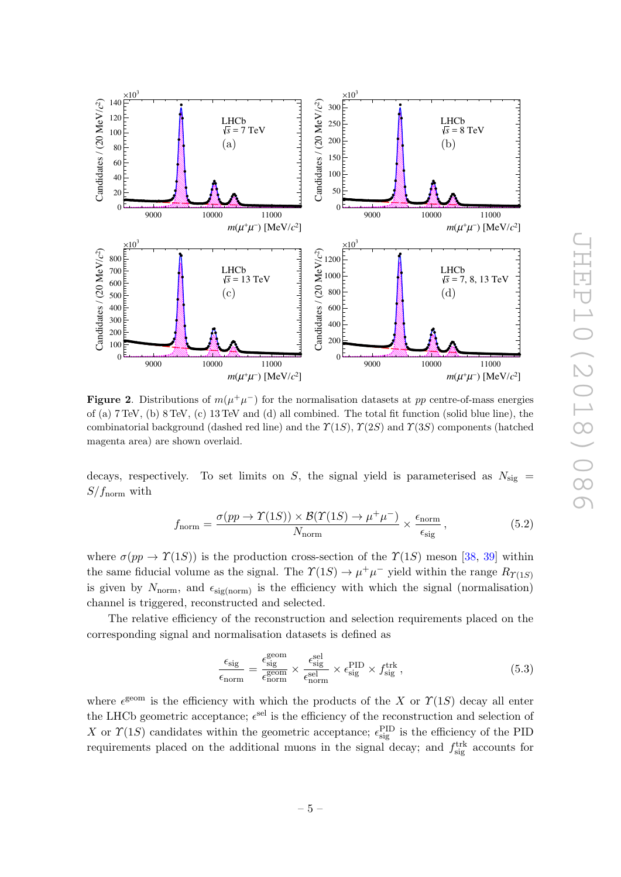

<span id="page-5-0"></span>**Figure 2.** Distributions of  $m(\mu^+\mu^-)$  for the normalisation datasets at pp centre-of-mass energies of (a) 7 TeV, (b) 8 TeV, (c) 13 TeV and (d) all combined. The total fit function (solid blue line), the combinatorial background (dashed red line) and the  $\Upsilon(1S)$ ,  $\Upsilon(2S)$  and  $\Upsilon(3S)$  components (hatched magenta area) are shown overlaid.

decays, respectively. To set limits on S, the signal yield is parameterised as  $N_{\text{sig}} =$  $S/f_{\text{norm}}$  with

$$
f_{\text{norm}} = \frac{\sigma(pp \to \Upsilon(1S)) \times \mathcal{B}(\Upsilon(1S) \to \mu^+\mu^-)}{N_{\text{norm}}} \times \frac{\epsilon_{\text{norm}}}{\epsilon_{\text{sig}}},\tag{5.2}
$$

where  $\sigma(pp \to \Upsilon(1S))$  is the production cross-section of the  $\Upsilon(1S)$  meson [\[38,](#page-15-0) [39\]](#page-15-1) within the same fiducial volume as the signal. The  $\Upsilon(1S) \to \mu^+ \mu^-$  yield within the range  $R_{\Upsilon(1S)}$ is given by  $N_{\text{norm}}$ , and  $\epsilon_{\text{sig(norm)}}$  is the efficiency with which the signal (normalisation) channel is triggered, reconstructed and selected.

The relative efficiency of the reconstruction and selection requirements placed on the corresponding signal and normalisation datasets is defined as

$$
\frac{\epsilon_{\text{sig}}}{\epsilon_{\text{norm}}} = \frac{\epsilon_{\text{sig}}^{\text{geom}}}{\epsilon_{\text{norm}}^{\text{geom}}} \times \frac{\epsilon_{\text{sig}}^{\text{sel}}}{\epsilon_{\text{norm}}^{\text{sel}}} \times \epsilon_{\text{sig}}^{\text{PID}} \times f_{\text{sig}}^{\text{trk}} ,
$$
\n(5.3)

where  $\epsilon^{\text{geom}}$  is the efficiency with which the products of the X or  $\Upsilon(1S)$  decay all enter the LHCb geometric acceptance;  $\epsilon^{\text{sel}}$  is the efficiency of the reconstruction and selection of X or  $\Upsilon(1S)$  candidates within the geometric acceptance;  $\epsilon_{\text{sig}}^{\text{PID}}$  is the efficiency of the PID requirements placed on the additional muons in the signal decay; and  $f_{\text{sig}}^{\text{trk}}$  accounts for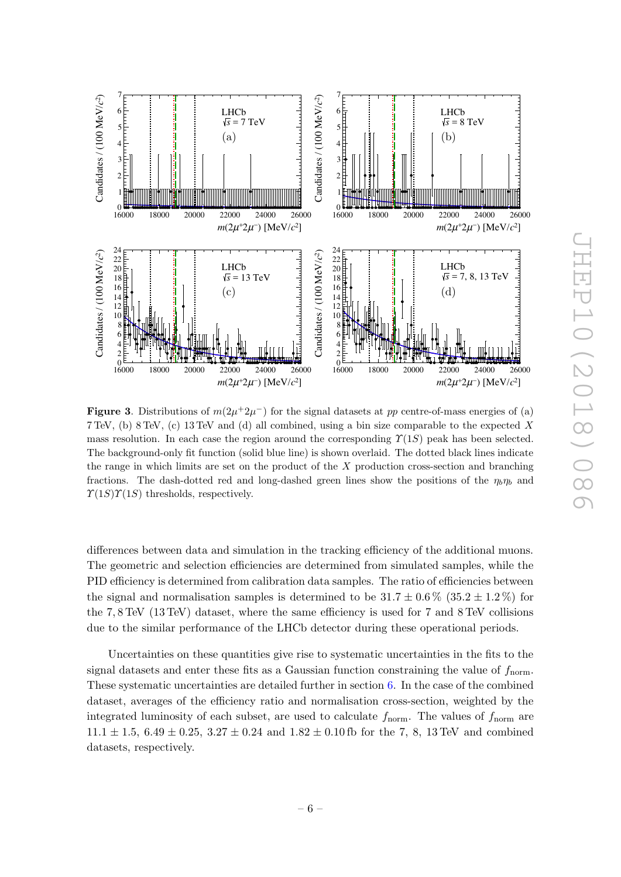

<span id="page-6-0"></span>**Figure 3.** Distributions of  $m(2\mu^+2\mu^-)$  for the signal datasets at pp centre-of-mass energies of (a) 7 TeV, (b) 8 TeV, (c) 13 TeV and (d) all combined, using a bin size comparable to the expected X mass resolution. In each case the region around the corresponding  $\Upsilon(1S)$  peak has been selected. The background-only fit function (solid blue line) is shown overlaid. The dotted black lines indicate the range in which limits are set on the product of the  $X$  production cross-section and branching fractions. The dash-dotted red and long-dashed green lines show the positions of the  $\eta_b\eta_b$  and  $\Upsilon(1S)\Upsilon(1S)$  thresholds, respectively.

differences between data and simulation in the tracking efficiency of the additional muons. The geometric and selection efficiencies are determined from simulated samples, while the PID efficiency is determined from calibration data samples. The ratio of efficiencies between the signal and normalisation samples is determined to be  $31.7 \pm 0.6\%$  (35.2  $\pm 1.2\%$ ) for the 7, 8 TeV (13 TeV) dataset, where the same efficiency is used for 7 and 8 TeV collisions due to the similar performance of the LHCb detector during these operational periods.

Uncertainties on these quantities give rise to systematic uncertainties in the fits to the signal datasets and enter these fits as a Gaussian function constraining the value of  $f_{\text{norm}}$ . These systematic uncertainties are detailed further in section [6.](#page-7-0) In the case of the combined dataset, averages of the efficiency ratio and normalisation cross-section, weighted by the integrated luminosity of each subset, are used to calculate  $f_{\text{norm}}$ . The values of  $f_{\text{norm}}$  are  $11.1 \pm 1.5$ ,  $6.49 \pm 0.25$ ,  $3.27 \pm 0.24$  and  $1.82 \pm 0.10$  fb for the 7, 8, 13 TeV and combined datasets, respectively.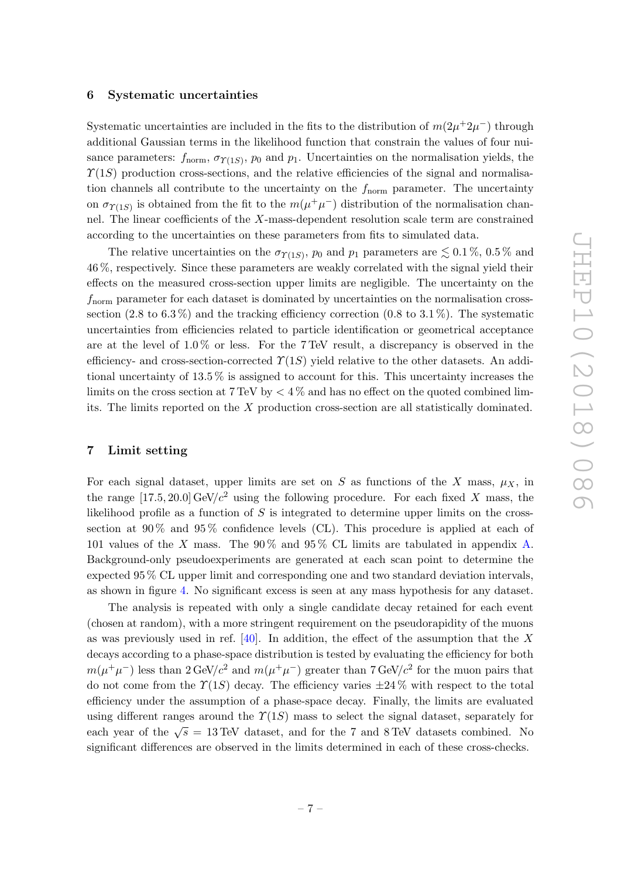#### <span id="page-7-0"></span>6 Systematic uncertainties

Systematic uncertainties are included in the fits to the distribution of  $m(2\mu^+2\mu^-)$  through additional Gaussian terms in the likelihood function that constrain the values of four nuisance parameters:  $f_{\text{norm}}$ ,  $\sigma_{\Upsilon(1S)}$ ,  $p_0$  and  $p_1$ . Uncertainties on the normalisation yields, the  $\Upsilon(1S)$  production cross-sections, and the relative efficiencies of the signal and normalisation channels all contribute to the uncertainty on the  $f_{\text{norm}}$  parameter. The uncertainty on  $\sigma_{\Upsilon(1S)}$  is obtained from the fit to the  $m(\mu^+\mu^-)$  distribution of the normalisation channel. The linear coefficients of the X-mass-dependent resolution scale term are constrained according to the uncertainties on these parameters from fits to simulated data.

The relative uncertainties on the  $\sigma_{\Upsilon(1S)}$ ,  $p_0$  and  $p_1$  parameters are  $\lesssim 0.1\%$ ,  $0.5\%$  and 46 %, respectively. Since these parameters are weakly correlated with the signal yield their effects on the measured cross-section upper limits are negligible. The uncertainty on the  $f_{\text{norm}}$  parameter for each dataset is dominated by uncertainties on the normalisation crosssection  $(2.8 \text{ to } 6.3 \%)$  and the tracking efficiency correction  $(0.8 \text{ to } 3.1 \%)$ . The systematic uncertainties from efficiencies related to particle identification or geometrical acceptance are at the level of 1.0 % or less. For the 7 TeV result, a discrepancy is observed in the efficiency- and cross-section-corrected  $\Upsilon(1S)$  yield relative to the other datasets. An additional uncertainty of 13.5 % is assigned to account for this. This uncertainty increases the limits on the cross section at  $7 \text{ TeV}$  by  $\lt 4\%$  and has no effect on the quoted combined limits. The limits reported on the X production cross-section are all statistically dominated.

## <span id="page-7-1"></span>7 Limit setting

For each signal dataset, upper limits are set on S as functions of the X mass,  $\mu_X$ , in the range  $[17.5, 20.0]$  GeV/ $c<sup>2</sup>$  using the following procedure. For each fixed X mass, the likelihood profile as a function of  $S$  is integrated to determine upper limits on the crosssection at  $90\%$  and  $95\%$  confidence levels (CL). This procedure is applied at each of 101 values of the X mass. The 90 % and 95 % CL limits are tabulated in appendix [A.](#page-9-0) Background-only pseudoexperiments are generated at each scan point to determine the expected 95 % CL upper limit and corresponding one and two standard deviation intervals, as shown in figure [4.](#page-8-1) No significant excess is seen at any mass hypothesis for any dataset.

The analysis is repeated with only a single candidate decay retained for each event (chosen at random), with a more stringent requirement on the pseudorapidity of the muons as was previously used in ref.  $[40]$ . In addition, the effect of the assumption that the X decays according to a phase-space distribution is tested by evaluating the efficiency for both  $m(\mu^+\mu^-)$  less than  $2 \text{ GeV}/c^2$  and  $m(\mu^+\mu^-)$  greater than  $7 \text{ GeV}/c^2$  for the muon pairs that do not come from the  $\Upsilon(1S)$  decay. The efficiency varies  $\pm 24\%$  with respect to the total efficiency under the assumption of a phase-space decay. Finally, the limits are evaluated using different ranges around the  $\Upsilon(1S)$  mass to select the signal dataset, separately for each year of the  $\sqrt{s} = 13$  TeV dataset, and for the 7 and 8 TeV datasets combined. No significant differences are observed in the limits determined in each of these cross-checks.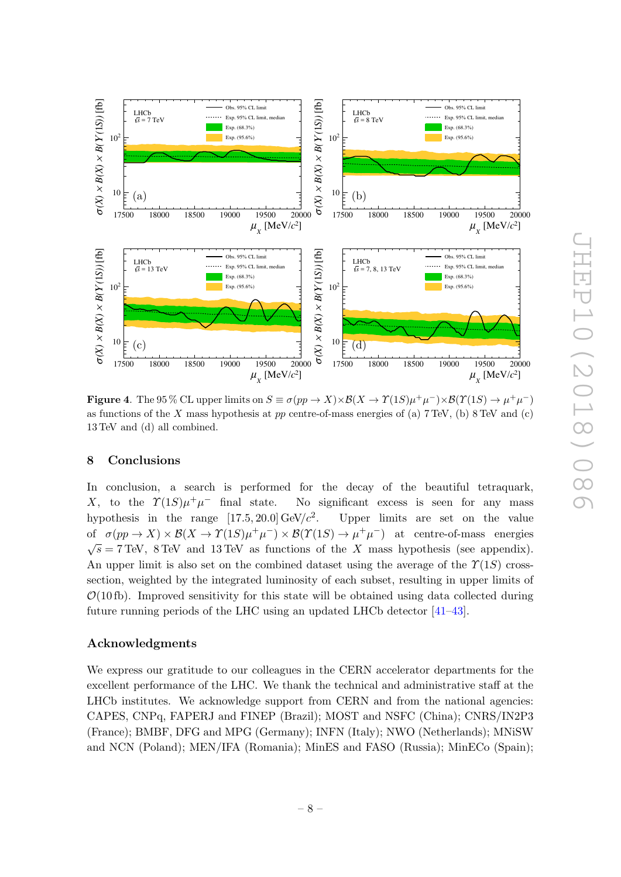

<span id="page-8-1"></span>**Figure 4.** The 95 % CL upper limits on  $S \equiv \sigma(pp \to X) \times B(X \to \Upsilon(1S) \mu^+ \mu^-) \times B(\Upsilon(1S) \to \mu^+ \mu^-)$ as functions of the X mass hypothesis at pp centre-of-mass energies of (a)  $7 \text{ TeV}$ , (b)  $8 \text{ TeV}$  and (c) 13 TeV and (d) all combined.

# <span id="page-8-0"></span>8 Conclusions

In conclusion, a search is performed for the decay of the beautiful tetraquark, X, to the  $\Upsilon(1S)\mu^+\mu$ No significant excess is seen for any mass hypothesis in the range  $[17.5, 20.0]$  GeV/ $c^2$ . . Upper limits are set on the value of  $\sigma(pp \to X) \times \mathcal{B}(X \to \Upsilon(1S) \mu^+\mu^-) \times \mathcal{B}(\Upsilon(1S) \to \mu^+\mu^-)$  at centre-of-mass energies  $\sqrt{s} = 7$  TeV, 8 TeV and 13 TeV as functions of the X mass hypothesis (see appendix). An upper limit is also set on the combined dataset using the average of the  $\Upsilon(1S)$  crosssection, weighted by the integrated luminosity of each subset, resulting in upper limits of  $\mathcal{O}(10 \text{ fb})$ . Improved sensitivity for this state will be obtained using data collected during future running periods of the LHC using an updated LHCb detector [\[41](#page-15-3)[–43\]](#page-15-4).

# Acknowledgments

We express our gratitude to our colleagues in the CERN accelerator departments for the excellent performance of the LHC. We thank the technical and administrative staff at the LHCb institutes. We acknowledge support from CERN and from the national agencies: CAPES, CNPq, FAPERJ and FINEP (Brazil); MOST and NSFC (China); CNRS/IN2P3 (France); BMBF, DFG and MPG (Germany); INFN (Italy); NWO (Netherlands); MNiSW and NCN (Poland); MEN/IFA (Romania); MinES and FASO (Russia); MinECo (Spain);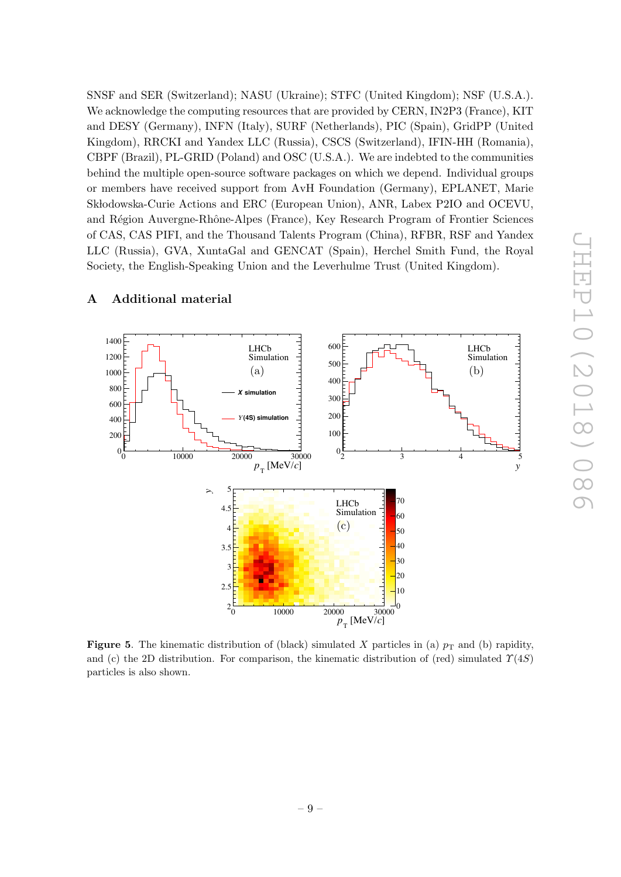SNSF and SER (Switzerland); NASU (Ukraine); STFC (United Kingdom); NSF (U.S.A.). We acknowledge the computing resources that are provided by CERN, IN2P3 (France), KIT and DESY (Germany), INFN (Italy), SURF (Netherlands), PIC (Spain), GridPP (United Kingdom), RRCKI and Yandex LLC (Russia), CSCS (Switzerland), IFIN-HH (Romania), CBPF (Brazil), PL-GRID (Poland) and OSC (U.S.A.). We are indebted to the communities behind the multiple open-source software packages on which we depend. Individual groups or members have received support from AvH Foundation (Germany), EPLANET, Marie Skłodowska-Curie Actions and ERC (European Union), ANR, Labex P2IO and OCEVU, and Région Auvergne-Rhône-Alpes (France), Key Research Program of Frontier Sciences of CAS, CAS PIFI, and the Thousand Talents Program (China), RFBR, RSF and Yandex LLC (Russia), GVA, XuntaGal and GENCAT (Spain), Herchel Smith Fund, the Royal Society, the English-Speaking Union and the Leverhulme Trust (United Kingdom).



# <span id="page-9-0"></span>A Additional material

**Figure 5.** The kinematic distribution of (black) simulated X particles in (a)  $p<sub>T</sub>$  and (b) rapidity, and (c) the 2D distribution. For comparison, the kinematic distribution of (red) simulated  $\Upsilon(4S)$ particles is also shown.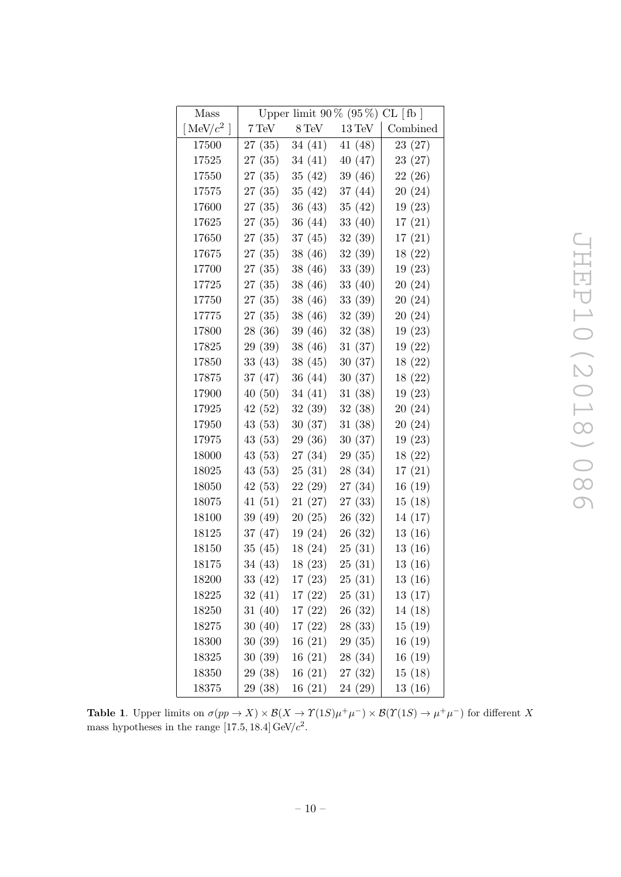| Mass          | Upper limit $90\%$ ( $95\%$ ) CL [fb ] |                    |                   |          |
|---------------|----------------------------------------|--------------------|-------------------|----------|
| [MeV/ $c^2$ ] | $7 \,\mathrm{TeV}$                     | $8 \,\mathrm{TeV}$ | $13\,\mbox{TeV}$  | Combined |
| 17500         | 27(35)                                 | 34(41)             | 41 (48)           | 23(27)   |
| 17525         | 27(35)                                 | 34(41)             | 40(47)            | 23(27)   |
| 17550         | 27(35)                                 | 35(42)             | 39 (46)           | 22(26)   |
| 17575         | 27(35)                                 | 35(42)             | 37(44)            | 20(24)   |
| 17600         | 27(35)                                 | 36(43)             | 35(42)            | 19(23)   |
| 17625         | 27(35)                                 | 36(44)             | 33(40)            | 17(21)   |
| 17650         | 27(35)                                 | 37(45)             | 32 (39)           | 17(21)   |
| 17675         | 27(35)                                 | 38 (46)            | 32(39)            | 18 (22)  |
| 17700         | 27(35)                                 | 38 (46)            | 33(39)            | 19(23)   |
| 17725         | 27(35)                                 | 38 (46)            | 33(40)            | 20(24)   |
| 17750         | 27(35)                                 | 38 (46)            | 33 (39)           | 20(24)   |
| 17775         | 27(35)                                 | 38 (46)            | 32 (39)           | 20(24)   |
| 17800         | 28 (36)                                | 39 (46)            | 32(38)            | 19(23)   |
| 17825         | 29 (39)                                | 38 (46)            | 31(37)            | 19(22)   |
| 17850         | 33(43)                                 | 38(45)             | 30(37)            | 18(22)   |
| 17875         | 37 (47)                                | 36(44)             | 30(37)            | 18(22)   |
| 17900         | 40(50)                                 | 34(41)             | 31(38)            | 19(23)   |
| 17925         | 42(52)                                 | 32(39)             | 32(38)            | 20(24)   |
| 17950         | 43(53)                                 | 30(37)             | 31(38)            | 20(24)   |
| 17975         | 43 (53)                                | 29 (36)            | 30(37)            | 19(23)   |
| 18000         | 43(53)                                 | 27 (34)            | 29(35)            | 18(22)   |
| 18025         | 43 (53)                                | 25(31)             | 28 (34)           | 17(21)   |
| 18050         | 42(53)                                 | 22(29)             | 27 (34)           | 16(19)   |
| 18075         | 41(51)                                 | 21(27)             | 27(33)            | 15(18)   |
| 18100         | 39(49)                                 | 20(25)             | 26(32)            | 14(17)   |
| 18125         | 37 (47)                                | 19(24)             | 26(32)            | 13(16)   |
| 18150         | 35(45)                                 | 18(24)             | 25(31)            | 13(16)   |
| 18175         | 34(43)                                 | 18(23)             | 25(31)            | 13(16)   |
| 18200         | 33 (42)                                |                    | $17(23)$ $25(31)$ | 13(16)   |
| 18225         | 32(41)                                 | 17(22)             | 25(31)            | 13(17)   |
| 18250         | 31(40)                                 | 17(22)             | 26(32)            | 14(18)   |
| 18275         | 30(40)                                 | 17(22)             | 28(33)            | 15(19)   |
| 18300         | 30(39)                                 | 16(21)             | 29(35)            | 16(19)   |
| 18325         | 30(39)                                 | 16(21)             | 28 (34)           | 16(19)   |
| 18350         | 29 (38)                                | 16(21)             | 27(32)            | 15(18)   |
| 18375         | 29 (38)                                | 16(21)             | 24 (29)           | 13(16)   |

**Table 1.** Upper limits on  $\sigma(pp \to X) \times \mathcal{B}(X \to \Upsilon(1S) \mu^+\mu^-) \times \mathcal{B}(\Upsilon(1S) \to \mu^+\mu^-)$  for different X mass hypotheses in the range [17.5, 18.4]  $GeV/c^2$ .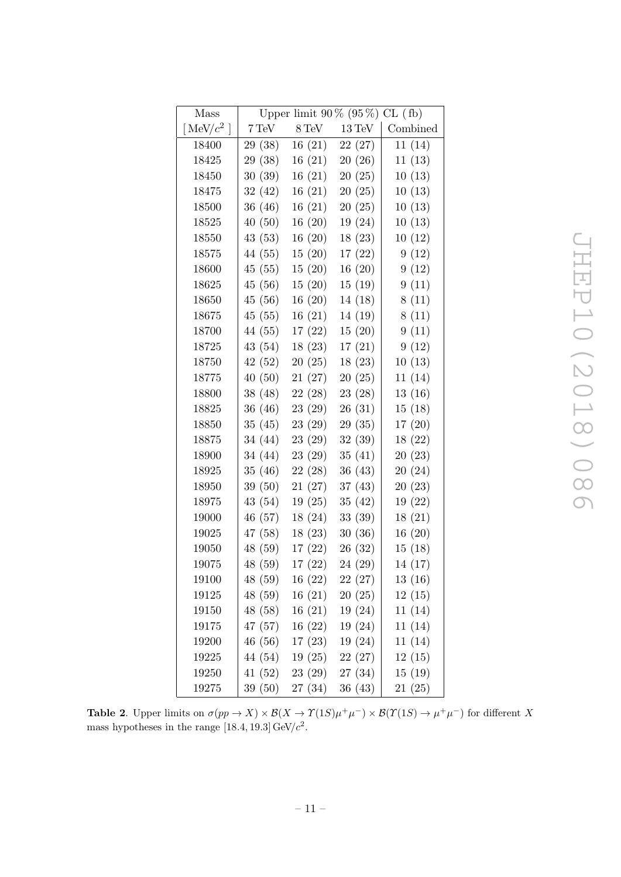| Mass          | Upper limit $90\%$ ( $95\%$ ) CL (fb) |                    |                   |          |
|---------------|---------------------------------------|--------------------|-------------------|----------|
| [MeV/ $c^2$ ] | $7 \,\mathrm{TeV}$                    | $8 \,\mathrm{TeV}$ | $13\,\mbox{TeV}$  | Combined |
| 18400         | 29 (38)                               | 16(21)             | 22(27)            | 11 (14)  |
| 18425         | 29 (38)                               | 16(21)             | 20(26)            | 11(13)   |
| 18450         | 30(39)                                | 16(21)             | 20(25)            | 10(13)   |
| 18475         | 32(42)                                | 16(21)             | 20(25)            | 10(13)   |
| 18500         | 36 (46)                               | 16(21)             | 20(25)            | 10(13)   |
| 18525         | 40(50)                                | 16(20)             | 19(24)            | 10(13)   |
| 18550         | 43 (53)                               | 16(20)             | 18(23)            | 10(12)   |
| 18575         | 44 (55)                               | 15(20)             | 17(22)            | 9(12)    |
| 18600         | 45(55)                                | 15(20)             | 16(20)            | 9(12)    |
| 18625         | 45 (56)                               | 15(20)             | 15(19)            | 9(11)    |
| 18650         | 45 (56)                               | 16(20)             | 14(18)            | 8(11)    |
| 18675         | 45(55)                                | 16(21)             | 14 (19)           | 8(11)    |
| 18700         | 44 (55)                               | 17(22)             | 15(20)            | 9(11)    |
| 18725         | 43 (54)                               | 18(23)             | 17(21)            | 9(12)    |
| 18750         | 42(52)                                | 20(25)             | 18(23)            | 10(13)   |
| 18775         | 40(50)                                | 21(27)             | 20(25)            | 11(14)   |
| 18800         | 38(48)                                | 22(28)             | 23(28)            | 13(16)   |
| 18825         | 36(46)                                | 23(29)             | 26(31)            | 15(18)   |
| 18850         | 35(45)                                | 23(29)             | 29(35)            | 17(20)   |
| 18875         | 34 (44)                               | 23 (29)            | 32(39)            | 18(22)   |
| 18900         | 34(44)                                | 23(29)             | 35(41)            | 20(23)   |
| 18925         | 35(46)                                | 22(28)             | 36(43)            | 20(24)   |
| 18950         | 39 (50)                               | 21(27)             | 37(43)            | 20(23)   |
| 18975         | 43 (54)                               | 19(25)             | 35(42)            | 19(22)   |
| 19000         | 46 (57)                               | 18(24)             | 33(39)            | 18(21)   |
| 19025         | 47 (58)                               | 18(23)             | 30(36)            | 16(20)   |
| 19050         | 48 (59)                               | 17(22)             | 26 (32)           | 15(18)   |
| 19075         | 48 (59)                               | 17(22)             | 24 (29)           | 14 (17)  |
| 19100         | 48 (59)                               |                    | $16(22)$ $22(27)$ | 13(16)   |
| $19125\,$     | 48 (59)                               | 16(21)             | 20(25)            | 12(15)   |
| 19150         | 48 (58)                               | 16(21)             | 19(24)            | 11(14)   |
| 19175         | 47(57)                                | 16(22)             | 19(24)            | 11(14)   |
| 19200         | 46(56)                                | 17(23)             | 19(24)            | 11(14)   |
| 19225         | 44 (54)                               | 19(25)             | 22(27)            | 12(15)   |
| 19250         | 41(52)                                | 23(29)             | 27 (34)           | 15(19)   |
| 19275         | 39 (50)                               | 27(34)             | 36(43)            | 21(25)   |

**Table 2.** Upper limits on  $\sigma(pp \to X) \times \mathcal{B}(X \to \Upsilon(1S) \mu^+\mu^-) \times \mathcal{B}(\Upsilon(1S) \to \mu^+\mu^-)$  for different X mass hypotheses in the range [18.4, 19.3]  $GeV/c^2$ .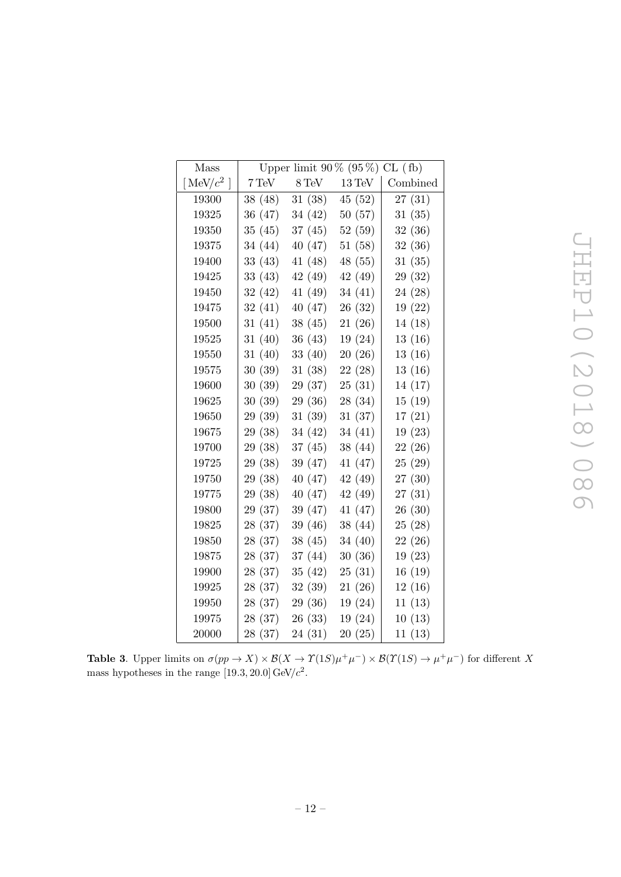| Mass          | Upper limit $90\%$ ( $95\%$ ) CL (fb) |         |                  |          |
|---------------|---------------------------------------|---------|------------------|----------|
| [MeV/ $c^2$ ] | 7 TeV                                 | 8 TeV   | $13\,\mbox{TeV}$ | Combined |
| 19300         | 38 (48)                               | 31(38)  | 45 (52)          | 27(31)   |
| 19325         | 36 (47)                               | 34 (42) | 50(57)           | 31(35)   |
| 19350         | 35(45)                                | 37(45)  | 52(59)           | 32(36)   |
| 19375         | 34 (44)                               | 40 (47) | 51(58)           | 32(36)   |
| 19400         | 33(43)                                | 41(48)  | 48 (55)          | 31(35)   |
| 19425         | 33 (43)                               | 42 (49) | 42 (49)          | 29 (32)  |
| 19450         | 32(42)                                | 41(49)  | 34(41)           | 24 (28)  |
| 19475         | 32(41)                                | 40 (47) | 26(32)           | 19(22)   |
| 19500         | 31(41)                                | 38(45)  | 21(26)           | 14 (18)  |
| 19525         | 31(40)                                | 36(43)  | 19 (24)          | 13(16)   |
| 19550         | 31(40)                                | 33(40)  | 20(26)           | 13(16)   |
| $19575\,$     | 30(39)                                | 31 (38) | 22 (28)          | 13(16)   |
| 19600         | 30(39)                                | 29 (37) | 25(31)           | 14 (17)  |
| 19625         | 30(39)                                | 29 (36) | 28 (34)          | 15(19)   |
| 19650         | 29 (39)                               | 31(39)  | 31(37)           | 17(21)   |
| 19675         | 29 (38)                               | 34 (42) | 34(41)           | 19(23)   |
| 19700         | 29 (38)                               | 37(45)  | 38(44)           | 22(26)   |
| 19725         | 29 (38)                               | 39 (47) | 41 (47)          | 25(29)   |
| 19750         | 29 (38)                               | 40 (47) | 42 (49)          | 27 (30)  |
| 19775         | 29 (38)                               | 40(47)  | 42 (49)          | 27(31)   |
| 19800         | 29 (37)                               | 39 (47) | 41 (47)          | 26(30)   |
| 19825         | 28 (37)                               | 39 (46) | 38 (44)          | 25(28)   |
| 19850         | 28 (37)                               | 38(45)  | 34 (40)          | 22(26)   |
| 19875         | 28(37)                                | 37 (44) | 30(36)           | 19(23)   |
| 19900         | 28 (37)                               | 35(42)  | 25(31)           | 16(19)   |
| 19925         | 28 (37)                               | 32(39)  | 21(26)           | 12(16)   |
| 19950         | 28 (37)                               | 29 (36) | 19(24)           | 11(13)   |
| 19975         | 28 (37)                               | 26(33)  | 19(24)           | 10(13)   |
| 20000         | 28 (37)                               | 24(31)  | 20(25)           | 11(13)   |

JHEP10(2018)086 JHEP10(2018)086

**Table 3.** Upper limits on  $\sigma(pp \to X) \times \mathcal{B}(X \to \Upsilon(1S) \mu^+\mu^-) \times \mathcal{B}(\Upsilon(1S) \to \mu^+\mu^-)$  for different X mass hypotheses in the range [19.3, 20.0]  $GeV/c^2$ .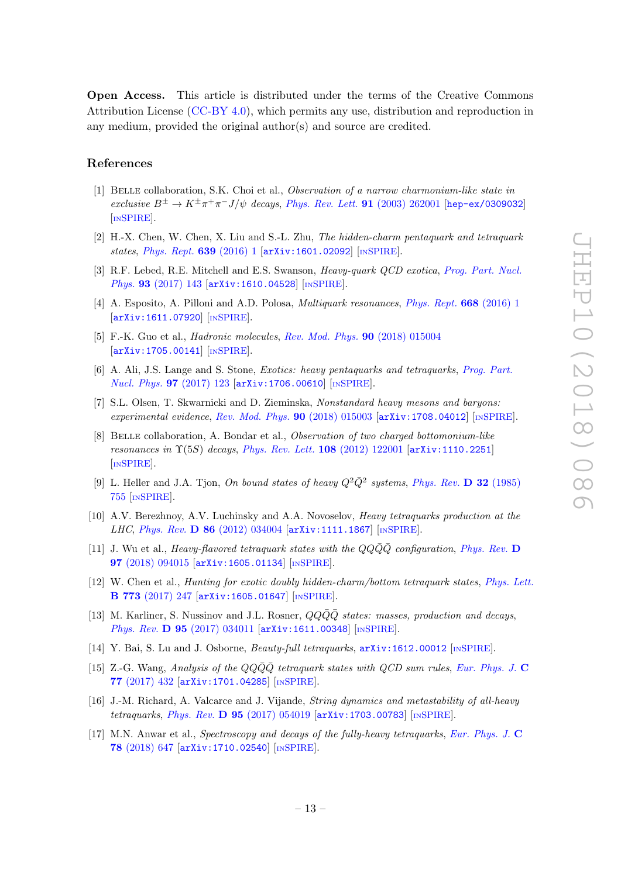Open Access. This article is distributed under the terms of the Creative Commons Attribution License [\(CC-BY 4.0\)](https://creativecommons.org/licenses/by/4.0/), which permits any use, distribution and reproduction in any medium, provided the original author(s) and source are credited.

#### References

- <span id="page-13-0"></span>[1] Belle collaboration, S.K. Choi et al., Observation of a narrow charmonium-like state in exclusive  $B^{\pm} \to K^{\pm}\pi^{+}\pi^{-}J/\psi$  decays, [Phys. Rev. Lett.](https://doi.org/10.1103/PhysRevLett.91.262001) **91** (2003) 262001 [[hep-ex/0309032](https://arxiv.org/abs/hep-ex/0309032)] [IN[SPIRE](https://inspirehep.net/search?p=find+EPRINT+hep-ex/0309032)].
- <span id="page-13-1"></span>[2] H.-X. Chen, W. Chen, X. Liu and S.-L. Zhu, The hidden-charm pentaquark and tetraquark states, [Phys. Rept.](https://doi.org/10.1016/j.physrep.2016.05.004)  $639$  (2016) 1  $\text{arXiv:1601.02092}$  $\text{arXiv:1601.02092}$  $\text{arXiv:1601.02092}$  [IN[SPIRE](https://inspirehep.net/search?p=find+EPRINT+arXiv:1601.02092)].
- [3] R.F. Lebed, R.E. Mitchell and E.S. Swanson, *Heavy-quark QCD exotica, [Prog. Part. Nucl.](https://doi.org/10.1016/j.ppnp.2016.11.003)* Phys. 93 [\(2017\) 143](https://doi.org/10.1016/j.ppnp.2016.11.003) [[arXiv:1610.04528](https://arxiv.org/abs/1610.04528)] [IN[SPIRE](https://inspirehep.net/search?p=find+EPRINT+arXiv:1610.04528)].
- [4] A. Esposito, A. Pilloni and A.D. Polosa, *Multiquark resonances*, *[Phys. Rept.](https://doi.org/10.1016/j.physrep.2016.11.002)* **668** (2016) 1 [[arXiv:1611.07920](https://arxiv.org/abs/1611.07920)] [IN[SPIRE](https://inspirehep.net/search?p=find+EPRINT+arXiv:1611.07920)].
- [5] F.-K. Guo et al., Hadronic molecules, [Rev. Mod. Phys.](https://doi.org/10.1103/RevModPhys.90.015004) 90 (2018) 015004  $\left[$ [arXiv:1705.00141](https://arxiv.org/abs/1705.00141) $\right]$  $\left[$ <sub>IN[SPIRE](https://inspirehep.net/search?p=find+EPRINT+arXiv:1705.00141)</sub> $\right]$ .
- [6] A. Ali, J.S. Lange and S. Stone, Exotics: heavy pentaquarks and tetraquarks, [Prog. Part.](https://doi.org/10.1016/j.ppnp.2017.08.003) [Nucl. Phys.](https://doi.org/10.1016/j.ppnp.2017.08.003) 97 (2017) 123 [[arXiv:1706.00610](https://arxiv.org/abs/1706.00610)] [IN[SPIRE](https://inspirehep.net/search?p=find+EPRINT+arXiv:1706.00610)].
- <span id="page-13-2"></span>[7] S.L. Olsen, T. Skwarnicki and D. Zieminska, Nonstandard heavy mesons and baryons: experimental evidence, [Rev. Mod. Phys.](https://doi.org/10.1103/RevModPhys.90.015003)  $90$  (2018) 015003 [[arXiv:1708.04012](https://arxiv.org/abs/1708.04012)] [IN[SPIRE](https://inspirehep.net/search?p=find+EPRINT+arXiv:1708.04012)].
- <span id="page-13-3"></span>[8] Belle collaboration, A. Bondar et al., Observation of two charged bottomonium-like resonances in  $\Upsilon(5S)$  decays, [Phys. Rev. Lett.](https://doi.org/10.1103/PhysRevLett.108.122001) 108 (2012) 122001 [[arXiv:1110.2251](https://arxiv.org/abs/1110.2251)] [IN[SPIRE](https://inspirehep.net/search?p=find+EPRINT+arXiv:1110.2251)].
- <span id="page-13-4"></span>[9] L. Heller and J.A. Tjon, On bound states of heavy  $Q^2\overline{Q}^2$  systems, [Phys. Rev.](https://doi.org/10.1103/PhysRevD.32.755) D 32 (1985) [755](https://doi.org/10.1103/PhysRevD.32.755) [IN[SPIRE](https://inspirehep.net/search?p=find+J+%22Phys.Rev.,D32,755%22)].
- [10] A.V. Berezhnoy, A.V. Luchinsky and A.A. Novoselov, Heavy tetraquarks production at the LHC, Phys. Rev. D 86 [\(2012\) 034004](https://doi.org/10.1103/PhysRevD.86.034004) [[arXiv:1111.1867](https://arxiv.org/abs/1111.1867)] [IN[SPIRE](https://inspirehep.net/search?p=find+EPRINT+arXiv:1111.1867)].
- [11] J. Wu et al., Heavy-flavored tetraquark states with the  $QQ\bar{Q}\bar{Q}$  configuration, [Phys. Rev.](https://doi.org/10.1103/PhysRevD.97.094015) D 97 [\(2018\) 094015](https://doi.org/10.1103/PhysRevD.97.094015) [[arXiv:1605.01134](https://arxiv.org/abs/1605.01134)] [IN[SPIRE](https://inspirehep.net/search?p=find+EPRINT+arXiv:1605.01134)].
- [12] W. Chen et al., *Hunting for exotic doubly hidden-charm/bottom tetraquark states, [Phys. Lett.](https://doi.org/10.1016/j.physletb.2017.08.034)* B 773 [\(2017\) 247](https://doi.org/10.1016/j.physletb.2017.08.034) [[arXiv:1605.01647](https://arxiv.org/abs/1605.01647)] [IN[SPIRE](https://inspirehep.net/search?p=find+EPRINT+arXiv:1605.01647)].
- [13] M. Karliner, S. Nussinov and J.L. Rosner,  $QQ\overline{Q}\overline{Q}$  states: masses, production and decays, Phys. Rev. D 95 [\(2017\) 034011](https://doi.org/10.1103/PhysRevD.95.034011) [[arXiv:1611.00348](https://arxiv.org/abs/1611.00348)] [IN[SPIRE](https://inspirehep.net/search?p=find+EPRINT+arXiv:1611.00348)].
- [14] Y. Bai, S. Lu and J. Osborne, Beauty-full tetraquarks, [arXiv:1612.00012](https://arxiv.org/abs/1612.00012) [IN[SPIRE](https://inspirehep.net/search?p=find+EPRINT+arXiv:1612.00012)].
- [15] Z.-G. Wang, Analysis of the  $QQ\bar{Q}Q$  tetraquark states with  $QCD$  sum rules, [Eur. Phys. J.](https://doi.org/10.1140/epjc/s10052-017-4997-0) C 77 [\(2017\) 432](https://doi.org/10.1140/epjc/s10052-017-4997-0) [[arXiv:1701.04285](https://arxiv.org/abs/1701.04285)] [IN[SPIRE](https://inspirehep.net/search?p=find+EPRINT+arXiv:1701.04285)].
- [16] J.-M. Richard, A. Valcarce and J. Vijande, String dynamics and metastability of all-heavy tetraquarks, Phys. Rev. D 95 [\(2017\) 054019](https://doi.org/10.1103/PhysRevD.95.054019) [[arXiv:1703.00783](https://arxiv.org/abs/1703.00783)] [IN[SPIRE](https://inspirehep.net/search?p=find+EPRINT+arXiv:1703.00783)].
- [17] M.N. Anwar et al., Spectroscopy and decays of the fully-heavy tetraquarks, [Eur. Phys. J.](https://doi.org/10.1140/epjc/s10052-018-6073-9) C 78 [\(2018\) 647](https://doi.org/10.1140/epjc/s10052-018-6073-9) [[arXiv:1710.02540](https://arxiv.org/abs/1710.02540)] [IN[SPIRE](https://inspirehep.net/search?p=find+EPRINT+arXiv:1710.02540)].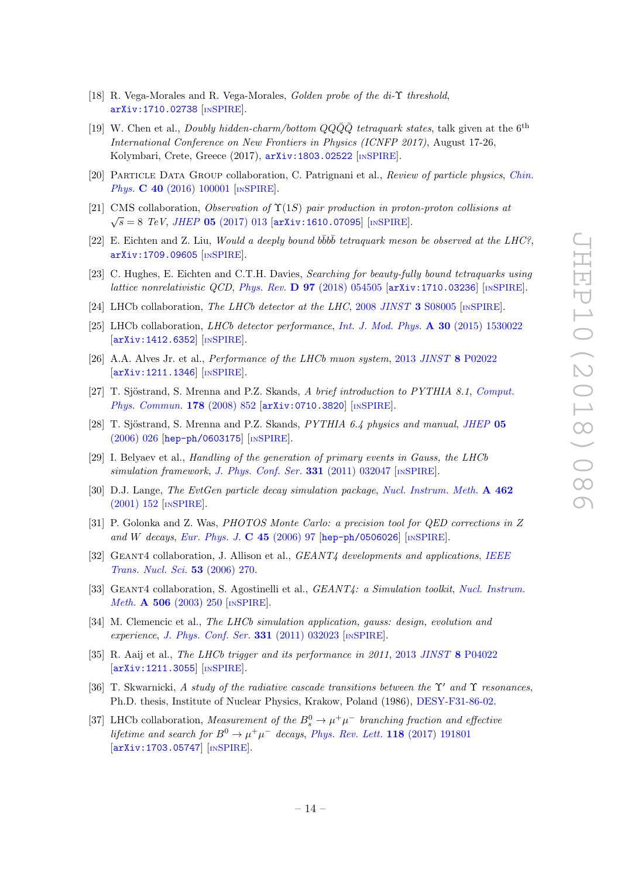- [18] R. Vega-Morales and R. Vega-Morales, *Golden probe of the di-*Υ threshold. [arXiv:1710.02738](https://arxiv.org/abs/1710.02738) [IN[SPIRE](https://inspirehep.net/search?p=find+EPRINT+arXiv:1710.02738)].
- <span id="page-14-0"></span>[19] W. Chen et al., *Doubly hidden-charm/bottom*  $QQ\bar{Q}Q\bar{Q}$  *tetraquark states*, talk given at the 6<sup>th</sup> International Conference on New Frontiers in Physics (ICNFP 2017), August 17-26, Kolymbari, Crete, Greece (2017),  $arXiv:1803.02522$  [IN[SPIRE](https://inspirehep.net/search?p=find+EPRINT+arXiv:1803.02522)].
- <span id="page-14-1"></span>[20] Particle Data Group collaboration, C. Patrignani et al., Review of particle physics, [Chin.](https://doi.org/10.1088/1674-1137/40/10/100001) Phys. **C 40** [\(2016\) 100001](https://doi.org/10.1088/1674-1137/40/10/100001) [IN[SPIRE](https://inspirehep.net/search?p=find+J+%22Chin.Phys.,C40,100001%22)].
- <span id="page-14-2"></span>[21] CMS collaboration, Observation of  $\Upsilon(1S)$  pair production in proton-proton collisions at  $\sqrt{s} = 8$  TeV, JHEP 05 [\(2017\) 013](https://doi.org/10.1007/JHEP05(2017)013) [[arXiv:1610.07095](https://arxiv.org/abs/1610.07095)] [IN[SPIRE](https://inspirehep.net/search?p=find+EPRINT+arXiv:1610.07095)].
- <span id="page-14-3"></span>[22] E. Eichten and Z. Liu, Would a deeply bound  $b\bar{b}b\bar{b}$  tetraquark meson be observed at the LHC?, [arXiv:1709.09605](https://arxiv.org/abs/1709.09605) [IN[SPIRE](https://inspirehep.net/search?p=find+EPRINT+arXiv:1709.09605)].
- <span id="page-14-4"></span>[23] C. Hughes, E. Eichten and C.T.H. Davies, Searching for beauty-fully bound tetraquarks using lattice nonrelativistic QCD, Phys. Rev.  $\bf{D}$  97 [\(2018\) 054505](https://doi.org/10.1103/PhysRevD.97.054505) [[arXiv:1710.03236](https://arxiv.org/abs/1710.03236)] [IN[SPIRE](https://inspirehep.net/search?p=find+EPRINT+arXiv:1710.03236)].
- <span id="page-14-5"></span>[24] LHCb collaboration, The LHCb detector at the LHC, 2008 JINST 3 [S08005](https://doi.org/10.1088/1748-0221/3/08/S08005) [IN[SPIRE](https://inspirehep.net/search?p=find+J+%22JINST,3,S08005%22)].
- <span id="page-14-6"></span>[25] LHCb collaboration, LHCb detector performance, [Int. J. Mod. Phys.](https://doi.org/10.1142/S0217751X15300227) A 30 (2015) 1530022 [[arXiv:1412.6352](https://arxiv.org/abs/1412.6352)] [IN[SPIRE](https://inspirehep.net/search?p=find+EPRINT+arXiv:1412.6352)].
- <span id="page-14-7"></span>[26] A.A. Alves Jr. et al., Performance of the LHCb muon system, 2013 JINST 8 [P02022](https://doi.org/10.1088/1748-0221/8/02/P02022) [[arXiv:1211.1346](https://arxiv.org/abs/1211.1346)] [IN[SPIRE](https://inspirehep.net/search?p=find+EPRINT+arXiv:1211.1346)].
- <span id="page-14-8"></span>[27] T. Sjöstrand, S. Mrenna and P.Z. Skands, A brief introduction to PYTHIA 8.1, [Comput.](https://doi.org/10.1016/j.cpc.2008.01.036) [Phys. Commun.](https://doi.org/10.1016/j.cpc.2008.01.036) 178 (2008) 852 [[arXiv:0710.3820](https://arxiv.org/abs/0710.3820)] [IN[SPIRE](https://inspirehep.net/search?p=find+EPRINT+arXiv:0710.3820)].
- <span id="page-14-9"></span>[28] T. Sjöstrand, S. Mrenna and P.Z. Skands,  $PYTHIA$  6.4 physics and manual, [JHEP](https://doi.org/10.1088/1126-6708/2006/05/026) 05 [\(2006\) 026](https://doi.org/10.1088/1126-6708/2006/05/026) [[hep-ph/0603175](https://arxiv.org/abs/hep-ph/0603175)] [IN[SPIRE](https://inspirehep.net/search?p=find+EPRINT+hep-ph/0603175)].
- <span id="page-14-10"></span>[29] I. Belyaev et al., Handling of the generation of primary events in Gauss, the LHCb simulation framework, [J. Phys. Conf. Ser.](https://doi.org/10.1088/1742-6596/331/3/032047)  $331$  (2011) 032047 [IN[SPIRE](https://inspirehep.net/search?p=find+J+%22J.Phys.Conf.Ser.,331,032047%22)].
- <span id="page-14-11"></span>[30] D.J. Lange, The EvtGen particle decay simulation package, [Nucl. Instrum. Meth.](https://doi.org/10.1016/S0168-9002(01)00089-4) A 462 [\(2001\) 152](https://doi.org/10.1016/S0168-9002(01)00089-4) [IN[SPIRE](https://inspirehep.net/search?p=find+J+%22Nucl.Instrum.Meth.,A462,152%22)].
- <span id="page-14-12"></span>[31] P. Golonka and Z. Was, PHOTOS Monte Carlo: a precision tool for QED corrections in Z and W decays, [Eur. Phys. J.](https://doi.org/10.1140/epjc/s2005-02396-4)  $C$  45 (2006) 97 [[hep-ph/0506026](https://arxiv.org/abs/hep-ph/0506026)] [IN[SPIRE](https://inspirehep.net/search?p=find+EPRINT+hep-ph/0506026)].
- <span id="page-14-13"></span>[32] GEANT4 collaboration, J. Allison et al., *GEANT4 developments and applications*, *[IEEE](https://doi.org/10.1109/TNS.2006.869826)* [Trans. Nucl. Sci.](https://doi.org/10.1109/TNS.2006.869826) 53 (2006) 270.
- <span id="page-14-14"></span>[33] GEANT4 collaboration, S. Agostinelli et al., *GEANT4: a Simulation toolkit, [Nucl. Instrum.](https://doi.org/10.1016/S0168-9002(03)01368-8)* Meth. A 506 [\(2003\) 250](https://doi.org/10.1016/S0168-9002(03)01368-8) [IN[SPIRE](https://inspirehep.net/search?p=find+J+%22Nucl.Instrum.Meth.,A506,250%22)].
- <span id="page-14-15"></span>[34] M. Clemencic et al., The LHCb simulation application, gauss: design, evolution and experience, [J. Phys. Conf. Ser.](https://doi.org/10.1088/1742-6596/331/3/032023)  $331$  (2011) 032023 [IN[SPIRE](https://inspirehep.net/search?p=find+J+%22J.Phys.Conf.Ser.,331,032023%22)].
- <span id="page-14-16"></span>[35] R. Aaij et al., The LHCb trigger and its performance in 2011, 2013 JINST 8 [P04022](https://doi.org/10.1088/1748-0221/8/04/P04022) [[arXiv:1211.3055](https://arxiv.org/abs/1211.3055)] [IN[SPIRE](https://inspirehep.net/search?p=find+EPRINT+arXiv:1211.3055)].
- <span id="page-14-17"></span>[36] T. Skwarnicki, A study of the radiative cascade transitions between the Y' and Y resonances, Ph.D. thesis, Institute of Nuclear Physics, Krakow, Poland (1986), [DESY-F31-86-02.](http://inspirehep.net/record/230779/)
- <span id="page-14-18"></span>[37] LHCb collaboration, Measurement of the  $B_s^0 \to \mu^+ \mu^-$  branching fraction and effective lifetime and search for  $B^0 \to \mu^+\mu^-$  decays, [Phys. Rev. Lett.](https://doi.org/10.1103/PhysRevLett.118.191801) 118 (2017) 191801 [[arXiv:1703.05747](https://arxiv.org/abs/1703.05747)] [IN[SPIRE](https://inspirehep.net/search?p=find+EPRINT+arXiv:1703.05747)].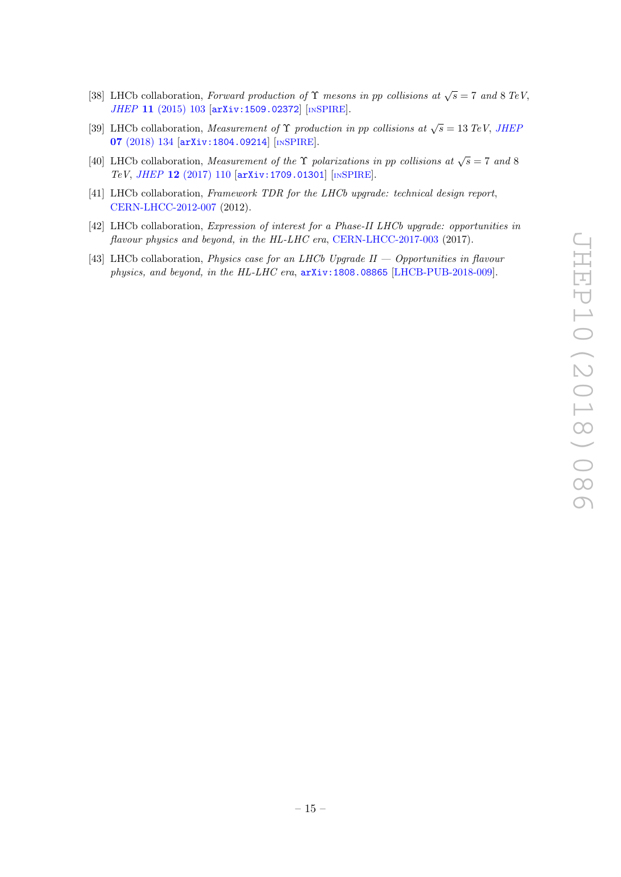- <span id="page-15-0"></span>[38] LHCb collaboration, Forward production of  $\Upsilon$  mesons in pp collisions at  $\sqrt{s} = 7$  and 8 TeV, JHEP 11 [\(2015\) 103](https://doi.org/10.1007/JHEP11(2015)103) [[arXiv:1509.02372](https://arxiv.org/abs/1509.02372)] [IN[SPIRE](https://inspirehep.net/search?p=find+EPRINT+arXiv:1509.02372)].
- <span id="page-15-1"></span>[39] LHCb collaboration, *Measurement of*  $\Upsilon$  *production in pp collisions at*  $\sqrt{s} = 13 \text{ TeV}$ , *JHEF* 07 [\(2018\) 134](https://doi.org/10.1007/JHEP07(2018)134) [[arXiv:1804.09214](https://arxiv.org/abs/1804.09214)] [IN[SPIRE](https://inspirehep.net/search?p=find+EPRINT+arXiv:1804.09214)].
- <span id="page-15-2"></span>[40] LHCb collaboration, *Measurement of the*  $\Upsilon$  *polarizations in pp collisions at*  $\sqrt{s} = 7$  *and* 8 TeV, JHEP 12 [\(2017\) 110](https://doi.org/10.1007/JHEP12(2017)110) [[arXiv:1709.01301](https://arxiv.org/abs/1709.01301)] [IN[SPIRE](https://inspirehep.net/search?p=find+EPRINT+arXiv:1709.01301)].
- <span id="page-15-3"></span>[41] LHCb collaboration, Framework TDR for the LHCb upgrade: technical design report, [CERN-LHCC-2012-007](http://cds.cern.ch/record/1443882) (2012).
- [42] LHCb collaboration, Expression of interest for a Phase-II LHCb upgrade: opportunities in flavour physics and beyond, in the HL-LHC era, [CERN-LHCC-2017-003](http://cds.cern.ch/record/2244311) (2017).
- <span id="page-15-4"></span>[43] LHCb collaboration, *Physics case for an LHCb Upgrade II — Opportunities in flavour* physics, and beyond, in the HL-LHC era, [arXiv:1808.08865](https://arxiv.org/abs/1808.08865) [\[LHCB-PUB-2018-009\]](https://cds.cern.ch/record/2636441).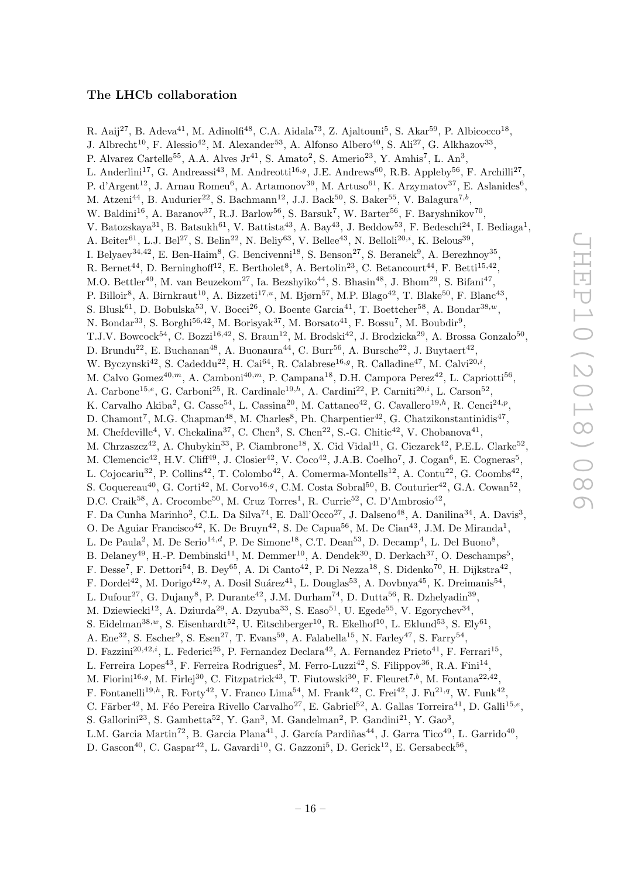# The LHCb collaboration

<span id="page-16-0"></span>R. Aaij<sup>27</sup>, B. Adeva<sup>41</sup>, M. Adinolfi<sup>48</sup>, C.A. Aidala<sup>73</sup>, Z. Ajaltouni<sup>5</sup>, S. Akar<sup>59</sup>, P. Albicocco<sup>18</sup>, J. Albrecht<sup>10</sup>, F. Alessio<sup>42</sup>, M. Alexander<sup>53</sup>, A. Alfonso Albero<sup>40</sup>, S. Ali<sup>27</sup>, G. Alkhazov<sup>33</sup>, P. Alvarez Cartelle<sup>55</sup>, A.A. Alves Jr<sup>41</sup>, S. Amato<sup>2</sup>, S. Amerio<sup>23</sup>, Y. Amhis<sup>7</sup>, L. An<sup>3</sup>, L. Anderlini<sup>17</sup>, G. Andreassi<sup>43</sup>, M. Andreotti<sup>16,g</sup>, J.E. Andrews<sup>60</sup>, R.B. Appleby<sup>56</sup>, F. Archilli<sup>27</sup>, P. d'Argent<sup>12</sup>, J. Arnau Romeu<sup>6</sup>, A. Artamonov<sup>39</sup>, M. Artuso<sup>61</sup>, K. Arzymatov<sup>37</sup>, E. Aslanides<sup>6</sup>, M. Atzeni<sup>44</sup>, B. Audurier<sup>22</sup>, S. Bachmann<sup>12</sup>, J.J. Back<sup>50</sup>, S. Baker<sup>55</sup>, V. Balagura<sup>7,b</sup>, W. Baldini<sup>16</sup>, A. Baranov<sup>37</sup>, R.J. Barlow<sup>56</sup>, S. Barsuk<sup>7</sup>, W. Barter<sup>56</sup>, F. Baryshnikov<sup>70</sup>, V. Batozskaya<sup>31</sup>, B. Batsukh<sup>61</sup>, V. Battista<sup>43</sup>, A. Bay<sup>43</sup>, J. Beddow<sup>53</sup>, F. Bedeschi<sup>24</sup>, I. Bediaga<sup>1</sup>, A. Beiter<sup>61</sup>, L.J. Bel<sup>27</sup>, S. Belin<sup>22</sup>, N. Beliy<sup>63</sup>, V. Bellee<sup>43</sup>, N. Belloli<sup>20,*i*</sup>, K. Belous<sup>39</sup>, I. Belyaev<sup>34,42</sup>, E. Ben-Haim<sup>8</sup>, G. Bencivenni<sup>18</sup>, S. Benson<sup>27</sup>, S. Beranek<sup>9</sup>, A. Berezhnoy<sup>35</sup>, R. Bernet<sup>44</sup>, D. Berninghoff<sup>12</sup>, E. Bertholet<sup>8</sup>, A. Bertolin<sup>23</sup>, C. Betancourt<sup>44</sup>, F. Betti<sup>15,42</sup>, M.O. Bettler<sup>49</sup>, M. van Beuzekom<sup>27</sup>, Ia. Bezshyiko<sup>44</sup>, S. Bhasin<sup>48</sup>, J. Bhom<sup>29</sup>, S. Bifani<sup>47</sup>, P. Billoir<sup>8</sup>, A. Birnkraut<sup>10</sup>, A. Bizzeti<sup>17,*u*</sup>, M. Bjørn<sup>57</sup>, M.P. Blago<sup>42</sup>, T. Blake<sup>50</sup>, F. Blanc<sup>43</sup>, S. Blusk<sup>61</sup>, D. Bobulska<sup>53</sup>, V. Bocci<sup>26</sup>, O. Boente Garcia<sup>41</sup>, T. Boettcher<sup>58</sup>, A. Bondar<sup>38,*w*</sup>, N. Bondar<sup>33</sup>, S. Borghi<sup>56,42</sup>, M. Borisyak<sup>37</sup>, M. Borsato<sup>41</sup>, F. Bossu<sup>7</sup>, M. Boubdir<sup>9</sup>, T.J.V. Bowcock<sup>54</sup>, C. Bozzi<sup>16,42</sup>, S. Braun<sup>12</sup>, M. Brodski<sup>42</sup>, J. Brodzicka<sup>29</sup>, A. Brossa Gonzalo<sup>50</sup>, D. Brundu<sup>22</sup>, E. Buchanan<sup>48</sup>, A. Buonaura<sup>44</sup>, C. Burr<sup>56</sup>, A. Bursche<sup>22</sup>, J. Buytaert<sup>42</sup>, W. Byczynski<sup>42</sup>, S. Cadeddu<sup>22</sup>, H. Cai<sup>64</sup>, R. Calabrese<sup>16,g</sup>, R. Calladine<sup>47</sup>, M. Calvi<sup>20,i</sup>, M. Calvo Gomez<sup>40,m</sup>, A. Camboni<sup>40,m</sup>, P. Campana<sup>18</sup>, D.H. Campora Perez<sup>42</sup>, L. Capriotti<sup>56</sup>, A. Carbone<sup>15,e</sup>, G. Carboni<sup>25</sup>, R. Cardinale<sup>19,h</sup>, A. Cardini<sup>22</sup>, P. Carniti<sup>20,i</sup>, L. Carson<sup>52</sup>, K. Carvalho Akiba<sup>2</sup>, G. Casse<sup>54</sup>, L. Cassina<sup>20</sup>, M. Cattaneo<sup>42</sup>, G. Cavallero<sup>19,h</sup>, R. Cenci<sup>24,p</sup>, D. Chamont<sup>7</sup>, M.G. Chapman<sup>48</sup>, M. Charles<sup>8</sup>, Ph. Charpentier<sup>42</sup>, G. Chatzikonstantinidis<sup>47</sup>, M. Chefdeville<sup>4</sup>, V. Chekalina<sup>37</sup>, C. Chen<sup>3</sup>, S. Chen<sup>22</sup>, S.-G. Chitic<sup>42</sup>, V. Chobanova<sup>41</sup>, M. Chrzaszcz<sup>42</sup>, A. Chubykin<sup>33</sup>, P. Ciambrone<sup>18</sup>, X. Cid Vidal<sup>41</sup>, G. Ciezarek<sup>42</sup>, P.E.L. Clarke<sup>52</sup>, M. Clemencic<sup>42</sup>, H.V. Cliff<sup>49</sup>, J. Closier<sup>42</sup>, V. Coco<sup>42</sup>, J.A.B. Coelho<sup>7</sup>, J. Cogan<sup>6</sup>, E. Cogneras<sup>5</sup>, L. Cojocariu<sup>32</sup>, P. Collins<sup>42</sup>, T. Colombo<sup>42</sup>, A. Comerma-Montells<sup>12</sup>, A. Contu<sup>22</sup>, G. Coombs<sup>42</sup>, S. Coquereau<sup>40</sup>, G. Corti<sup>42</sup>, M. Corvo<sup>16,g</sup>, C.M. Costa Sobral<sup>50</sup>, B. Couturier<sup>42</sup>, G.A. Cowan<sup>52</sup>, D.C. Craik<sup>58</sup>, A. Crocombe<sup>50</sup>, M. Cruz Torres<sup>1</sup>, R. Currie<sup>52</sup>, C. D'Ambrosio<sup>42</sup>, F. Da Cunha Marinho<sup>2</sup>, C.L. Da Silva<sup>74</sup>, E. Dall'Occo<sup>27</sup>, J. Dalseno<sup>48</sup>, A. Danilina<sup>34</sup>, A. Davis<sup>3</sup>, O. De Aguiar Francisco<sup>42</sup>, K. De Bruyn<sup>42</sup>, S. De Capua<sup>56</sup>, M. De Cian<sup>43</sup>, J.M. De Miranda<sup>1</sup>, L. De Paula<sup>2</sup>, M. De Serio<sup>14,d</sup>, P. De Simone<sup>18</sup>, C.T. Dean<sup>53</sup>, D. Decamp<sup>4</sup>, L. Del Buono<sup>8</sup>, B. Delaney<sup>49</sup>, H.-P. Dembinski<sup>11</sup>, M. Demmer<sup>10</sup>, A. Dendek<sup>30</sup>, D. Derkach<sup>37</sup>, O. Deschamps<sup>5</sup>, F. Desse<sup>7</sup>, F. Dettori<sup>54</sup>, B. Dey<sup>65</sup>, A. Di Canto<sup>42</sup>, P. Di Nezza<sup>18</sup>, S. Didenko<sup>70</sup>, H. Dijkstra<sup>42</sup>, F. Dordei<sup>42</sup>, M. Dorigo<sup>42, y</sup>, A. Dosil Suárez<sup>41</sup>, L. Douglas<sup>53</sup>, A. Dovbnya<sup>45</sup>, K. Dreimanis<sup>54</sup>, L. Dufour<sup>27</sup>, G. Dujany<sup>8</sup>, P. Durante<sup>42</sup>, J.M. Durham<sup>74</sup>, D. Dutta<sup>56</sup>, R. Dzhelyadin<sup>39</sup>, M. Dziewiecki<sup>12</sup>, A. Dziurda<sup>29</sup>, A. Dzyuba<sup>33</sup>, S. Easo<sup>51</sup>, U. Egede<sup>55</sup>, V. Egorychev<sup>34</sup>, S. Eidelman<sup>38,*w*</sup>, S. Eisenhardt<sup>52</sup>, U. Eitschberger<sup>10</sup>, R. Ekelhof<sup>10</sup>, L. Eklund<sup>53</sup>, S. Ely<sup>61</sup>, A. Ene<sup>32</sup>, S. Escher<sup>9</sup>, S. Esen<sup>27</sup>, T. Evans<sup>59</sup>, A. Falabella<sup>15</sup>, N. Farley<sup>47</sup>, S. Farry<sup>54</sup>, D. Fazzini<sup>20,42,*i*</sup>, L. Federici<sup>25</sup>, P. Fernandez Declara<sup>42</sup>, A. Fernandez Prieto<sup>41</sup>, F. Ferrari<sup>15</sup>, L. Ferreira Lopes<sup>43</sup>, F. Ferreira Rodrigues<sup>2</sup>, M. Ferro-Luzzi<sup>42</sup>, S. Filippov<sup>36</sup>, R.A. Fini<sup>14</sup>, M. Fiorini<sup>16,9</sup>, M. Firlej<sup>30</sup>, C. Fitzpatrick<sup>43</sup>, T. Fiutowski<sup>30</sup>, F. Fleuret<sup>7,b</sup>, M. Fontana<sup>22,42</sup>, F. Fontanelli<sup>19,h</sup>, R. Forty<sup>42</sup>, V. Franco Lima<sup>54</sup>, M. Frank<sup>42</sup>, C. Frei<sup>42</sup>, J. Fu<sup>21,q</sup>, W. Funk<sup>42</sup>, C. Färber<sup>42</sup>, M. Féo Pereira Rivello Carvalho<sup>27</sup>, E. Gabriel<sup>52</sup>, A. Gallas Torreira<sup>41</sup>, D. Galli<sup>15,e</sup>, S. Gallorini<sup>23</sup>, S. Gambetta<sup>52</sup>, Y. Gan<sup>3</sup>, M. Gandelman<sup>2</sup>, P. Gandini<sup>21</sup>, Y. Gao<sup>3</sup>, L.M. Garcia Martin<sup>72</sup>, B. Garcia Plana<sup>41</sup>, J. García Pardiñas<sup>44</sup>, J. Garra Tico<sup>49</sup>, L. Garrido<sup>40</sup>,

D. Gascon<sup>40</sup>, C. Gaspar<sup>42</sup>, L. Gavardi<sup>10</sup>, G. Gazzoni<sup>5</sup>, D. Gerick<sup>12</sup>, E. Gersabeck<sup>56</sup>,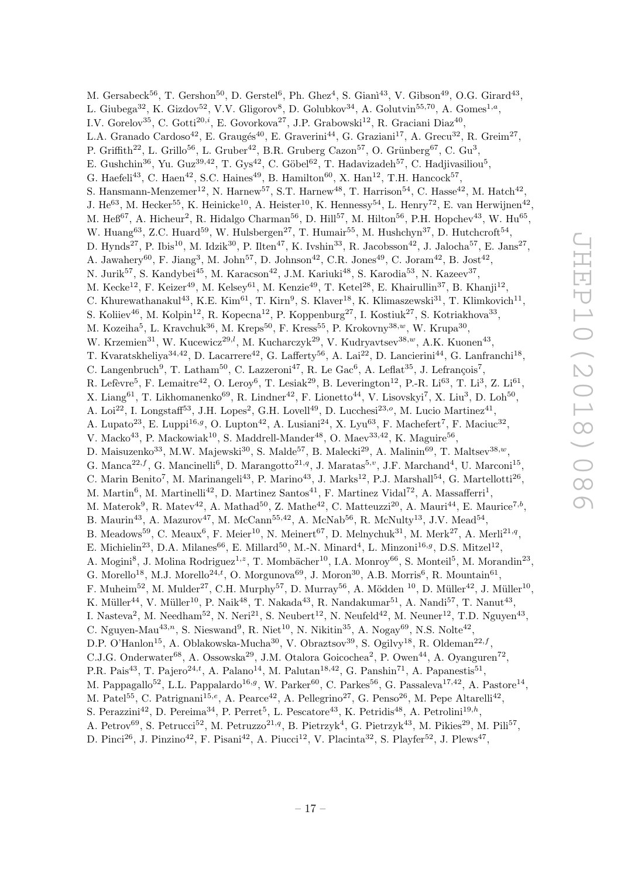M. Gersabeck<sup>56</sup>, T. Gershon<sup>50</sup>, D. Gerstel<sup>6</sup>, Ph. Ghez<sup>4</sup>, S. Gianì<sup>43</sup>, V. Gibson<sup>49</sup>, O.G. Girard<sup>43</sup>, L. Giubega<sup>32</sup>, K. Gizdov<sup>52</sup>, V.V. Gligorov<sup>8</sup>, D. Golubkov<sup>34</sup>, A. Golutvin<sup>55,70</sup>, A. Gomes<sup>1,a</sup>, I.V. Gorelov<sup>35</sup>, C. Gotti<sup>20,*i*</sup>, E. Govorkova<sup>27</sup>, J.P. Grabowski<sup>12</sup>, R. Graciani Diaz<sup>40</sup>, L.A. Granado Cardoso<sup>42</sup>, E. Graugés<sup>40</sup>, E. Graverini<sup>44</sup>, G. Graziani<sup>17</sup>, A. Grecu<sup>32</sup>, R. Greim<sup>27</sup>, P. Griffith<sup>22</sup>, L. Grillo<sup>56</sup>, L. Gruber<sup>42</sup>, B.R. Gruberg Cazon<sup>57</sup>, O. Grünberg<sup>67</sup>, C. Gu<sup>3</sup>, E. Gushchin<sup>36</sup>, Yu. Guz<sup>39,42</sup>, T. Gys<sup>42</sup>, C. Göbel<sup>62</sup>, T. Hadavizadeh<sup>57</sup>, C. Hadjivasiliou<sup>5</sup>, G. Haefeli<sup>43</sup>, C. Haen<sup>42</sup>, S.C. Haines<sup>49</sup>, B. Hamilton<sup>60</sup>, X. Han<sup>12</sup>, T.H. Hancock<sup>57</sup>, S. Hansmann-Menzemer<sup>12</sup>, N. Harnew<sup>57</sup>, S.T. Harnew<sup>48</sup>, T. Harrison<sup>54</sup>, C. Hasse<sup>42</sup>, M. Hatch<sup>42</sup>, J. He<sup>63</sup>, M. Hecker<sup>55</sup>, K. Heinicke<sup>10</sup>, A. Heister<sup>10</sup>, K. Hennessy<sup>54</sup>, L. Henry<sup>72</sup>, E. van Herwijnen<sup>42</sup>, M. He $6^{67}$ , A. Hicheur<sup>2</sup>, R. Hidalgo Charman<sup>56</sup>, D. Hill<sup>57</sup>, M. Hilton<sup>56</sup>, P.H. Hopchev<sup>43</sup>, W. Hu<sup>65</sup>, W. Huang<sup>63</sup>, Z.C. Huard<sup>59</sup>, W. Hulsbergen<sup>27</sup>, T. Humair<sup>55</sup>, M. Hushchyn<sup>37</sup>, D. Hutchcroft<sup>54</sup>, D. Hynds<sup>27</sup>, P. Ibis<sup>10</sup>, M. Idzik<sup>30</sup>, P. Ilten<sup>47</sup>, K. Ivshin<sup>33</sup>, R. Jacobsson<sup>42</sup>, J. Jalocha<sup>57</sup>, E. Jans<sup>27</sup>, A. Jawahery<sup>60</sup>, F. Jiang<sup>3</sup>, M. John<sup>57</sup>, D. Johnson<sup>42</sup>, C.R. Jones<sup>49</sup>, C. Joram<sup>42</sup>, B. Jost<sup>42</sup>, N. Jurik<sup>57</sup>, S. Kandybei<sup>45</sup>, M. Karacson<sup>42</sup>, J.M. Kariuki<sup>48</sup>, S. Karodia<sup>53</sup>, N. Kazeev<sup>37</sup>, M. Kecke<sup>12</sup>, F. Keizer<sup>49</sup>, M. Kelsey<sup>61</sup>, M. Kenzie<sup>49</sup>, T. Ketel<sup>28</sup>, E. Khairullin<sup>37</sup>, B. Khanji<sup>12</sup>, C. Khurewathanakul<sup>43</sup>, K.E. Kim<sup>61</sup>, T. Kirn<sup>9</sup>, S. Klaver<sup>18</sup>, K. Klimaszewski<sup>31</sup>, T. Klimkovich<sup>11</sup>, S. Koliiev<sup>46</sup>, M. Kolpin<sup>12</sup>, R. Kopecna<sup>12</sup>, P. Koppenburg<sup>27</sup>, I. Kostiuk<sup>27</sup>, S. Kotriakhova<sup>33</sup>, M. Kozeiha<sup>5</sup>, L. Kravchuk<sup>36</sup>, M. Kreps<sup>50</sup>, F. Kress<sup>55</sup>, P. Krokovny<sup>38,*w*</sup>, W. Krupa<sup>30</sup>, W. Krzemien<sup>31</sup>, W. Kucewicz<sup>29,*l*</sup>, M. Kucharczyk<sup>29</sup>, V. Kudryavtsev<sup>38,*w*</sup>, A.K. Kuonen<sup>43</sup>, T. Kvaratskheliya<sup>34,42</sup>, D. Lacarrere<sup>42</sup>, G. Lafferty<sup>56</sup>, A. Lai<sup>22</sup>, D. Lancierini<sup>44</sup>, G. Lanfranchi<sup>18</sup>, C. Langenbruch<sup>9</sup>, T. Latham<sup>50</sup>, C. Lazzeroni<sup>47</sup>, R. Le Gac<sup>6</sup>, A. Leflat<sup>35</sup>, J. Lefrançois<sup>7</sup>, R. Lefèvre<sup>5</sup>, F. Lemaitre<sup>42</sup>, O. Leroy<sup>6</sup>, T. Lesiak<sup>29</sup>, B. Leverington<sup>12</sup>, P.-R. Li<sup>63</sup>, T. Li<sup>3</sup>, Z. Li<sup>61</sup>, X. Liang<sup>61</sup>, T. Likhomanenko<sup>69</sup>, R. Lindner<sup>42</sup>, F. Lionetto<sup>44</sup>, V. Lisovskyi<sup>7</sup>, X. Liu<sup>3</sup>, D. Loh<sup>50</sup>, A. Loi<sup>22</sup>, I. Longstaff<sup>53</sup>, J.H. Lopes<sup>2</sup>, G.H. Lovell<sup>49</sup>, D. Lucchesi<sup>23,0</sup>, M. Lucio Martinez<sup>41</sup>, A. Lupato<sup>23</sup>, E. Luppi<sup>16,g</sup>, O. Lupton<sup>42</sup>, A. Lusiani<sup>24</sup>, X. Lyu<sup>63</sup>, F. Machefert<sup>7</sup>, F. Maciuc<sup>32</sup>, V. Macko<sup>43</sup>, P. Mackowiak<sup>10</sup>, S. Maddrell-Mander<sup>48</sup>, O. Maev<sup>33,42</sup>, K. Maguire<sup>56</sup>, D. Maisuzenko<sup>33</sup>, M.W. Majewski<sup>30</sup>, S. Malde<sup>57</sup>, B. Malecki<sup>29</sup>, A. Malinin<sup>69</sup>, T. Maltsev<sup>38,*w*</sup>, G. Manca<sup>22,f</sup>, G. Mancinelli<sup>6</sup>, D. Marangotto<sup>21,q</sup>, J. Maratas<sup>5,v</sup>, J.F. Marchand<sup>4</sup>, U. Marconi<sup>15</sup>, C. Marin Benito<sup>7</sup>, M. Marinangeli<sup>43</sup>, P. Marino<sup>43</sup>, J. Marks<sup>12</sup>, P.J. Marshall<sup>54</sup>, G. Martellotti<sup>26</sup>, M. Martin<sup>6</sup>, M. Martinelli<sup>42</sup>, D. Martinez Santos<sup>41</sup>, F. Martinez Vidal<sup>72</sup>, A. Massafferri<sup>1</sup>, M. Materok<sup>9</sup>, R. Matev<sup>42</sup>, A. Mathad<sup>50</sup>, Z. Mathe<sup>42</sup>, C. Matteuzzi<sup>20</sup>, A. Mauri<sup>44</sup>, E. Maurice<sup>7,b</sup>, B. Maurin<sup>43</sup>, A. Mazurov<sup>47</sup>, M. McCann<sup>55,42</sup>, A. McNab<sup>56</sup>, R. McNulty<sup>13</sup>, J.V. Mead<sup>54</sup>, B. Meadows<sup>59</sup>, C. Meaux<sup>6</sup>, F. Meier<sup>10</sup>, N. Meinert<sup>67</sup>, D. Melnychuk<sup>31</sup>, M. Merk<sup>27</sup>, A. Merli<sup>21,q</sup>, E. Michielin<sup>23</sup>, D.A. Milanes<sup>66</sup>, E. Millard<sup>50</sup>, M.-N. Minard<sup>4</sup>, L. Minzoni<sup>16,9</sup>, D.S. Mitzel<sup>12</sup>, A. Mogini<sup>8</sup>, J. Molina Rodriguez<sup>1,2</sup>, T. Mombächer<sup>10</sup>, I.A. Monroy<sup>66</sup>, S. Monteil<sup>5</sup>, M. Morandin<sup>23</sup>, G. Morello<sup>18</sup>, M.J. Morello<sup>24,t</sup>, O. Morgunova<sup>69</sup>, J. Moron<sup>30</sup>, A.B. Morris<sup>6</sup>, R. Mountain<sup>61</sup>, F. Muheim<sup>52</sup>, M. Mulder<sup>27</sup>, C.H. Murphy<sup>57</sup>, D. Murray<sup>56</sup>, A. Mödden <sup>10</sup>, D. Müller<sup>42</sup>, J. Müller<sup>10</sup>, K. Müller<sup>44</sup>, V. Müller<sup>10</sup>, P. Naik<sup>48</sup>, T. Nakada<sup>43</sup>, R. Nandakumar<sup>51</sup>, A. Nandi<sup>57</sup>, T. Nanut<sup>43</sup>, I. Nasteva<sup>2</sup>, M. Needham<sup>52</sup>, N. Neri<sup>21</sup>, S. Neubert<sup>12</sup>, N. Neufeld<sup>42</sup>, M. Neuner<sup>12</sup>, T.D. Nguyen<sup>43</sup>, C. Nguyen-Mau<sup>43,n</sup>, S. Nieswand<sup>9</sup>, R. Niet<sup>10</sup>, N. Nikitin<sup>35</sup>, A. Nogay<sup>69</sup>, N.S. Nolte<sup>42</sup>, D.P. O'Hanlon<sup>15</sup>, A. Oblakowska-Mucha<sup>30</sup>, V. Obraztsov<sup>39</sup>, S. Ogilvy<sup>18</sup>, R. Oldeman<sup>22, f</sup>, C.J.G. Onderwater<sup>68</sup>, A. Ossowska<sup>29</sup>, J.M. Otalora Goicochea<sup>2</sup>, P. Owen<sup>44</sup>, A. Oyanguren<sup>72</sup>, P.R. Pais<sup>43</sup>, T. Pajero<sup>24,t</sup>, A. Palano<sup>14</sup>, M. Palutan<sup>18,42</sup>, G. Panshin<sup>71</sup>, A. Papanestis<sup>51</sup>, M. Pappagallo<sup>52</sup>, L.L. Pappalardo<sup>16,g</sup>, W. Parker<sup>60</sup>, C. Parkes<sup>56</sup>, G. Passaleva<sup>17,42</sup>, A. Pastore<sup>14</sup>, M. Patel<sup>55</sup>, C. Patrignani<sup>15,e</sup>, A. Pearce<sup>42</sup>, A. Pellegrino<sup>27</sup>, G. Penso<sup>26</sup>, M. Pepe Altarelli<sup>42</sup>, S. Perazzini<sup>42</sup>, D. Pereima<sup>34</sup>, P. Perret<sup>5</sup>, L. Pescatore<sup>43</sup>, K. Petridis<sup>48</sup>, A. Petrolini<sup>19,h</sup>,

- A. Petrov<sup>69</sup>, S. Petrucci<sup>52</sup>, M. Petruzzo<sup>21,q</sup>, B. Pietrzyk<sup>4</sup>, G. Pietrzyk<sup>43</sup>, M. Pikies<sup>29</sup>, M. Pili<sup>57</sup>,
- D. Pinci<sup>26</sup>, J. Pinzino<sup>42</sup>, F. Pisani<sup>42</sup>, A. Piucci<sup>12</sup>, V. Placinta<sup>32</sup>, S. Playfer<sup>52</sup>, J. Plews<sup>47</sup>,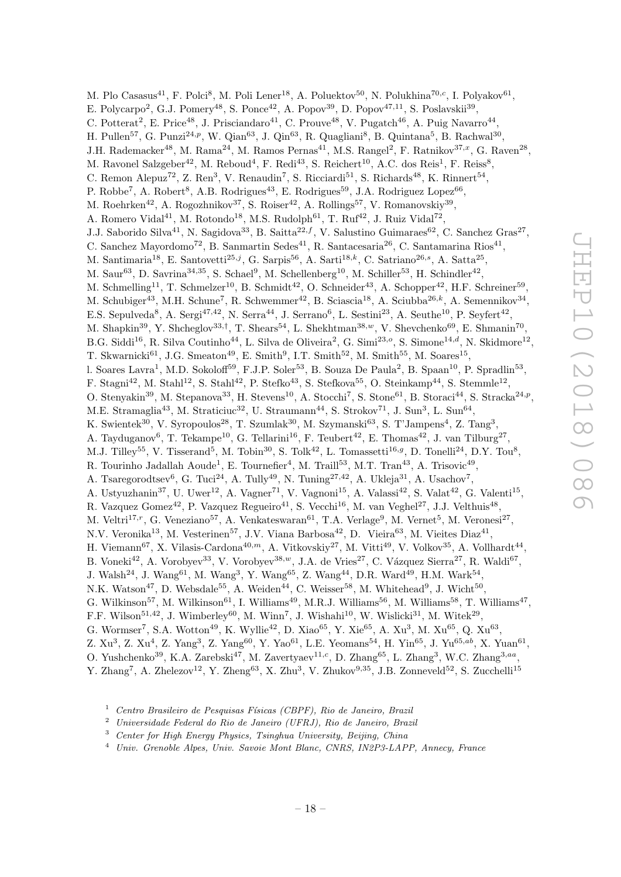M. Plo Casasus<sup>41</sup>, F. Polci<sup>8</sup>, M. Poli Lener<sup>18</sup>, A. Poluektov<sup>50</sup>, N. Polukhina<sup>70,c</sup>, I. Polyakov<sup>61</sup>, E. Polycarpo<sup>2</sup>, G.J. Pomery<sup>48</sup>, S. Ponce<sup>42</sup>, A. Popov<sup>39</sup>, D. Popov<sup>47,11</sup>, S. Poslavskii<sup>39</sup>, C. Potterat<sup>2</sup>, E. Price<sup>48</sup>, J. Prisciandaro<sup>41</sup>, C. Prouve<sup>48</sup>, V. Pugatch<sup>46</sup>, A. Puig Navarro<sup>44</sup>, H. Pullen<sup>57</sup>, G. Punzi<sup>24,p</sup>, W. Qian<sup>63</sup>, J. Qin<sup>63</sup>, R. Quagliani<sup>8</sup>, B. Quintana<sup>5</sup>, B. Rachwal<sup>30</sup>, J.H. Rademacker<sup>48</sup>, M. Rama<sup>24</sup>, M. Ramos Pernas<sup>41</sup>, M.S. Rangel<sup>2</sup>, F. Ratnikov<sup>37,x</sup>, G. Raven<sup>28</sup>, M. Ravonel Salzgeber<sup>42</sup>, M. Reboud<sup>4</sup>, F. Redi<sup>43</sup>, S. Reichert<sup>10</sup>, A.C. dos Reis<sup>1</sup>, F. Reiss<sup>8</sup>, C. Remon Alepuz<sup>72</sup>, Z. Ren<sup>3</sup>, V. Renaudin<sup>7</sup>, S. Ricciardi<sup>51</sup>, S. Richards<sup>48</sup>, K. Rinnert<sup>54</sup>, P. Robbe<sup>7</sup>, A. Robert<sup>8</sup>, A.B. Rodrigues<sup>43</sup>, E. Rodrigues<sup>59</sup>, J.A. Rodriguez Lopez<sup>66</sup>, M. Roehrken<sup>42</sup>, A. Rogozhnikov<sup>37</sup>, S. Roiser<sup>42</sup>, A. Rollings<sup>57</sup>, V. Romanovskiy<sup>39</sup>, A. Romero Vidal<sup>41</sup>, M. Rotondo<sup>18</sup>, M.S. Rudolph<sup>61</sup>, T. Ruf<sup>42</sup>, J. Ruiz Vidal<sup>72</sup>, J.J. Saborido Silva<sup>41</sup>, N. Sagidova<sup>33</sup>, B. Saitta<sup>22,f</sup>, V. Salustino Guimaraes<sup>62</sup>, C. Sanchez Gras<sup>27</sup>, C. Sanchez Mayordomo<sup>72</sup>, B. Sanmartin Sedes<sup>41</sup>, R. Santacesaria<sup>26</sup>, C. Santamarina Rios<sup>41</sup>, M. Santimaria<sup>18</sup>, E. Santovetti<sup>25,j</sup>, G. Sarpis<sup>56</sup>, A. Sarti<sup>18,k</sup>, C. Satriano<sup>26,s</sup>, A. Satta<sup>25</sup>, M. Saur $^{63}$ , D. Savrina<sup>34,35</sup>, S. Schael<sup>9</sup>, M. Schellenberg<sup>10</sup>, M. Schiller<sup>53</sup>, H. Schindler<sup>42</sup>, M. Schmelling<sup>11</sup>, T. Schmelzer<sup>10</sup>, B. Schmidt<sup>42</sup>, O. Schneider<sup>43</sup>, A. Schopper<sup>42</sup>, H.F. Schreiner<sup>59</sup>, M. Schubiger<sup>43</sup>, M.H. Schune<sup>7</sup>, R. Schwemmer<sup>42</sup>, B. Sciascia<sup>18</sup>, A. Sciubba<sup>26,k</sup>, A. Semennikov<sup>34</sup>, E.S. Sepulveda<sup>8</sup>, A. Sergi<sup>47,42</sup>, N. Serra<sup>44</sup>, J. Serrano<sup>6</sup>, L. Sestini<sup>23</sup>, A. Seuthe<sup>10</sup>, P. Seyfert<sup>42</sup>, M. Shapkin<sup>39</sup>, Y. Shcheglov<sup>33,†</sup>, T. Shears<sup>54</sup>, L. Shekhtman<sup>38,*w*</sup>, V. Shevchenko<sup>69</sup>, E. Shmanin<sup>70</sup>, B.G. Siddi<sup>16</sup>, R. Silva Coutinho<sup>44</sup>, L. Silva de Oliveira<sup>2</sup>, G. Simi<sup>23,0</sup>, S. Simone<sup>14,d</sup>, N. Skidmore<sup>12</sup>, T. Skwarnicki<sup>61</sup>, J.G. Smeaton<sup>49</sup>, E. Smith<sup>9</sup>, I.T. Smith<sup>52</sup>, M. Smith<sup>55</sup>, M. Soares<sup>15</sup>, l. Soares Lavra<sup>1</sup>, M.D. Sokoloff<sup>59</sup>, F.J.P. Soler<sup>53</sup>, B. Souza De Paula<sup>2</sup>, B. Spaan<sup>10</sup>, P. Spradlin<sup>53</sup>, F. Stagni<sup>42</sup>, M. Stahl<sup>12</sup>, S. Stahl<sup>42</sup>, P. Stefko<sup>43</sup>, S. Stefkova<sup>55</sup>, O. Steinkamp<sup>44</sup>, S. Stemmle<sup>12</sup>, O. Stenyakin<sup>39</sup>, M. Stepanova<sup>33</sup>, H. Stevens<sup>10</sup>, A. Stocchi<sup>7</sup>, S. Stone<sup>61</sup>, B. Storaci<sup>44</sup>, S. Stracka<sup>24,p</sup>, M.E. Stramaglia<sup>43</sup>, M. Straticiuc<sup>32</sup>, U. Straumann<sup>44</sup>, S. Strokov<sup>71</sup>, J. Sun<sup>3</sup>, L. Sun<sup>64</sup>, K. Swientek<sup>30</sup>, V. Syropoulos<sup>28</sup>, T. Szumlak<sup>30</sup>, M. Szymanski<sup>63</sup>, S. T'Jampens<sup>4</sup>, Z. Tang<sup>3</sup>, A. Tayduganov<sup>6</sup>, T. Tekampe<sup>10</sup>, G. Tellarini<sup>16</sup>, F. Teubert<sup>42</sup>, E. Thomas<sup>42</sup>, J. van Tilburg<sup>27</sup>, M.J. Tilley<sup>55</sup>, V. Tisserand<sup>5</sup>, M. Tobin<sup>30</sup>, S. Tolk<sup>42</sup>, L. Tomassetti<sup>16,g</sup>, D. Tonelli<sup>24</sup>, D.Y. Tou<sup>8</sup>, R. Tourinho Jadallah Aoude<sup>1</sup>, E. Tournefier<sup>4</sup>, M. Traill<sup>53</sup>, M.T. Tran<sup>43</sup>, A. Trisovic<sup>49</sup>, A. Tsaregorodtsev<sup>6</sup>, G. Tuci<sup>24</sup>, A. Tully<sup>49</sup>, N. Tuning<sup>27,42</sup>, A. Ukleja<sup>31</sup>, A. Usachov<sup>7</sup>, A. Ustyuzhanin<sup>37</sup>, U. Uwer<sup>12</sup>, A. Vagner<sup>71</sup>, V. Vagnoni<sup>15</sup>, A. Valassi<sup>42</sup>, S. Valat<sup>42</sup>, G. Valenti<sup>15</sup>, R. Vazquez Gomez<sup>42</sup>, P. Vazquez Regueiro<sup>41</sup>, S. Vecchi<sup>16</sup>, M. van Veghel<sup>27</sup>, J.J. Velthuis<sup>48</sup>, M. Veltri<sup>17, r</sup>, G. Veneziano<sup>57</sup>, A. Venkateswaran<sup>61</sup>, T.A. Verlage<sup>9</sup>, M. Vernet<sup>5</sup>, M. Veronesi<sup>27</sup>, N.V. Veronika<sup>13</sup>, M. Vesterinen<sup>57</sup>, J.V. Viana Barbosa<sup>42</sup>, D. Vieira<sup>63</sup>, M. Vieites Diaz<sup>41</sup>, H. Viemann<sup>67</sup>, X. Vilasis-Cardona<sup>40,m</sup>, A. Vitkovskiy<sup>27</sup>, M. Vitti<sup>49</sup>, V. Volkov<sup>35</sup>, A. Vollhardt<sup>44</sup>, B. Voneki<sup>42</sup>, A. Vorobyev<sup>33</sup>, V. Vorobyev<sup>38,w</sup>, J.A. de Vries<sup>27</sup>, C. Vázquez Sierra<sup>27</sup>, R. Waldi<sup>67</sup>, J. Walsh<sup>24</sup>, J. Wang<sup>61</sup>, M. Wang<sup>3</sup>, Y. Wang<sup>65</sup>, Z. Wang<sup>44</sup>, D.R. Ward<sup>49</sup>, H.M. Wark<sup>54</sup>, N.K. Watson<sup>47</sup>, D. Websdale<sup>55</sup>, A. Weiden<sup>44</sup>, C. Weisser<sup>58</sup>, M. Whitehead<sup>9</sup>, J. Wicht<sup>50</sup>, G. Wilkinson<sup>57</sup>, M. Wilkinson<sup>61</sup>, I. Williams<sup>49</sup>, M.R.J. Williams<sup>56</sup>, M. Williams<sup>58</sup>, T. Williams<sup>47</sup>, F.F. Wilson<sup>51,42</sup>, J. Wimberley<sup>60</sup>, M. Winn<sup>7</sup>, J. Wishahi<sup>10</sup>, W. Wislicki<sup>31</sup>, M. Witek<sup>29</sup>, G. Wormser<sup>7</sup>, S.A. Wotton<sup>49</sup>, K. Wyllie<sup>42</sup>, D. Xiao<sup>65</sup>, Y. Xie<sup>65</sup>, A. Xu<sup>3</sup>, M. Xu<sup>65</sup>, Q. Xu<sup>63</sup>, Z. Xu<sup>3</sup>, Z. Xu<sup>4</sup>, Z. Yang<sup>3</sup>, Z. Yang<sup>60</sup>, Y. Yao<sup>61</sup>, L.E. Yeomans<sup>54</sup>, H. Yin<sup>65</sup>, J. Yu<sup>65,ab</sup>, X. Yuan<sup>61</sup>, O. Yushchenko<sup>39</sup>, K.A. Zarebski<sup>47</sup>, M. Zavertyaev<sup>11,c</sup>, D. Zhang<sup>65</sup>, L. Zhang<sup>3</sup>, W.C. Zhang<sup>3,aa</sup>, Y. Zhang<sup>7</sup>, A. Zhelezov<sup>12</sup>, Y. Zheng<sup>63</sup>, X. Zhu<sup>3</sup>, V. Zhukov<sup>9,35</sup>, J.B. Zonneveld<sup>52</sup>, S. Zucchelli<sup>15</sup>

- $1$  Centro Brasileiro de Pesquisas Físicas (CBPF), Rio de Janeiro, Brazil
- <sup>2</sup> Universidade Federal do Rio de Janeiro (UFRJ), Rio de Janeiro, Brazil
- <sup>3</sup> Center for High Energy Physics, Tsinghua University, Beijing, China
- <sup>4</sup> Univ. Grenoble Alpes, Univ. Savoie Mont Blanc, CNRS, IN2P3-LAPP, Annecy, France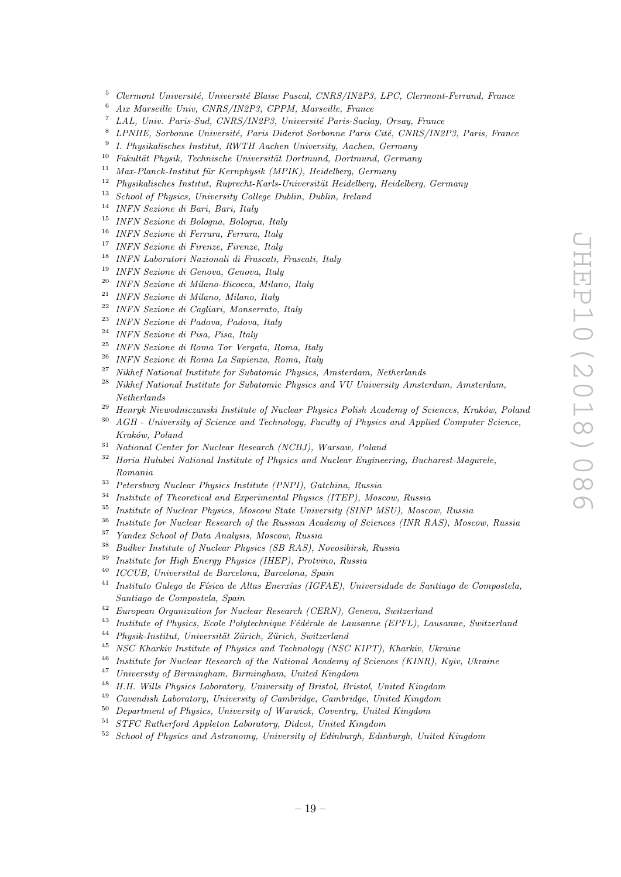- Clermont Université, Université Blaise Pascal, CNRS/IN2P3, LPC, Clermont-Ferrand, France
- Aix Marseille Univ, CNRS/IN2P3, CPPM, Marseille, France
- <sup>7</sup> LAL, Univ. Paris-Sud, CNRS/IN2P3, Université Paris-Saclay, Orsay, France
- <sup>8</sup> LPNHE, Sorbonne Université, Paris Diderot Sorbonne Paris Cité, CNRS/IN2P3, Paris, France
- I. Physikalisches Institut, RWTH Aachen University, Aachen, Germany
- Fakultät Physik, Technische Universität Dortmund, Dortmund, Germany
- <sup>11</sup> Max-Planck-Institut für Kernphysik (MPIK), Heidelberg, Germany<br><sup>12</sup> Physikalischer Institute Permantat Kerla Universität Heidelberg, Hei
- Physikalisches Institut, Ruprecht-Karls-Universit¨at Heidelberg, Heidelberg, Germany
- School of Physics, University College Dublin, Dublin, Ireland
- INFN Sezione di Bari, Bari, Italy
- INFN Sezione di Bologna, Bologna, Italy
- INFN Sezione di Ferrara, Ferrara, Italy
- INFN Sezione di Firenze, Firenze, Italy
- INFN Laboratori Nazionali di Frascati, Frascati, Italy
- INFN Sezione di Genova, Genova, Italy
- INFN Sezione di Milano-Bicocca, Milano, Italy
- INFN Sezione di Milano, Milano, Italy
- INFN Sezione di Cagliari, Monserrato, Italy
- INFN Sezione di Padova, Padova, Italy
- INFN Sezione di Pisa, Pisa, Italy
- INFN Sezione di Roma Tor Vergata, Roma, Italy
- INFN Sezione di Roma La Sapienza, Roma, Italy
- Nikhef National Institute for Subatomic Physics, Amsterdam, Netherlands
- $^{28}$  Nikhef National Institute for Subatomic Physics and VU University Amsterdam, Amsterdam, Netherlands
- <sup>29</sup> Henryk Niewodniczanski Institute of Nuclear Physics Polish Academy of Sciences, Kraków, Poland
- AGH University of Science and Technology, Faculty of Physics and Applied Computer Science, Kraków, Poland
- National Center for Nuclear Research (NCBJ), Warsaw, Poland
- <sup>32</sup> Horia Hulubei National Institute of Physics and Nuclear Engineering, Bucharest-Magurele, Romania
- <sup>33</sup> Petersburg Nuclear Physics Institute (PNPI), Gatchina, Russia<br><sup>34</sup> Institute of Theoretical and European antal Physics (ITEP), March
- <sup>34</sup> Institute of Theoretical and Experimental Physics (ITEP), Moscow, Russia<br><sup>35</sup> Institute of Nueless Physics, Moscow, State University (SINP MSII), Mosco
- Institute of Nuclear Physics, Moscow State University (SINP MSU), Moscow, Russia
- Institute for Nuclear Research of the Russian Academy of Sciences (INR RAS), Moscow, Russia
- Yandex School of Data Analysis, Moscow, Russia
- Budker Institute of Nuclear Physics (SB RAS), Novosibirsk, Russia
- Institute for High Energy Physics (IHEP), Protvino, Russia
- ICCUB, Universitat de Barcelona, Barcelona, Spain
- <sup>41</sup> Instituto Galego de Física de Altas Enerxías (IGFAE), Universidade de Santiago de Compostela, Santiago de Compostela, Spain
- European Organization for Nuclear Research (CERN), Geneva, Switzerland
- <sup>43</sup> Institute of Physics, Ecole Polytechnique Fédérale de Lausanne (EPFL), Lausanne, Switzerland
- <sup>44</sup> Physik-Institut, Universität Zürich, Zürich, Switzerland
- <sup>45</sup> NSC Kharkiv Institute of Physics and Technology (NSC KIPT), Kharkiv, Ukraine<br><sup>46</sup> Institute for Nuclear Besearch of the National Academy of Sciences (KINB), Kaiv
- Institute for Nuclear Research of the National Academy of Sciences (KINR), Kyiv, Ukraine
- University of Birmingham, Birmingham, United Kingdom
- H.H. Wills Physics Laboratory, University of Bristol, Bristol, United Kingdom
- Cavendish Laboratory, University of Cambridge, Cambridge, United Kingdom
- Department of Physics, University of Warwick, Coventry, United Kingdom
- STFC Rutherford Appleton Laboratory, Didcot, United Kingdom
- School of Physics and Astronomy, University of Edinburgh, Edinburgh, United Kingdom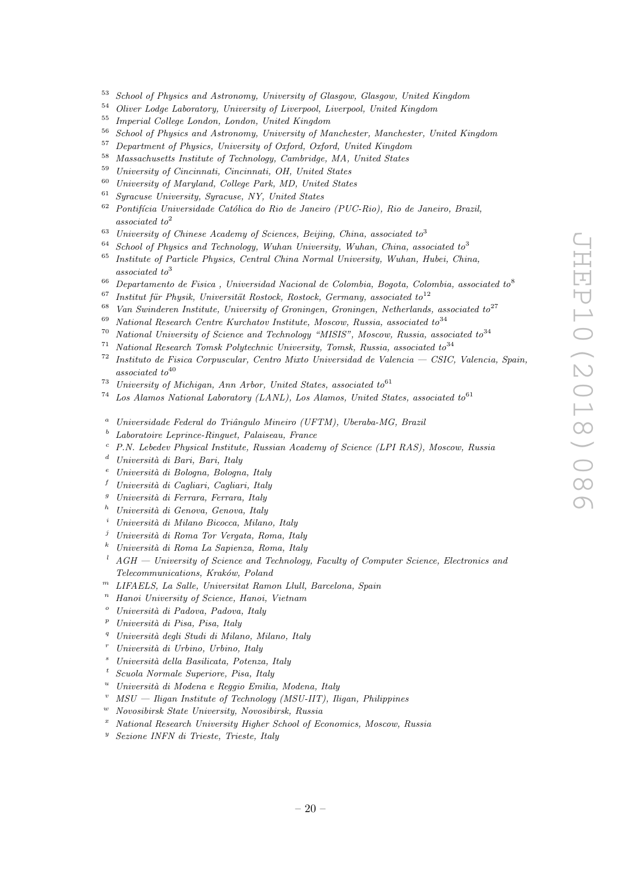- <sup>53</sup> School of Physics and Astronomy, University of Glasgow, Glasgow, United Kingdom
- <sup>54</sup> Oliver Lodge Laboratory, University of Liverpool, Liverpool, United Kingdom
- <sup>55</sup> Imperial College London, London, United Kingdom
- $56$  School of Physics and Astronomy, University of Manchester, Manchester, United Kingdom<br> $57$  Department of Physics, University of Orford, Orford, United Kingdom
- <sup>57</sup> Department of Physics, University of Oxford, Oxford, United Kingdom
- <sup>58</sup> Massachusetts Institute of Technology, Cambridge, MA, United States<br><sup>59</sup> University of Cincipanti, Cincipanti, OU, United States
- $^{59}$  University of Cincinnati, Cincinnati, OH, United States  $^{69}$  University of Manchael College Rank MD, United States
- <sup>60</sup> University of Maryland, College Park, MD, United States<br><sup>61</sup> Superson University Superson NV, United States
- <sup>61</sup> Syracuse University, Syracuse, NY, United States
- $62$  Pontifícia Universidade Católica do Rio de Janeiro (PUC-Rio), Rio de Janeiro, Brazil, associated to<sup>2</sup>
- <sup>63</sup> University of Chinese Academy of Sciences, Beijing, China, associated to<sup>3</sup>
- $64$  School of Physics and Technology, Wuhan University, Wuhan, China, associated to<sup>3</sup>
- <sup>65</sup> Institute of Particle Physics, Central China Normal University, Wuhan, Hubei, China, associated to<sup>3</sup>
- <sup>66</sup> Departamento de Fisica, Universidad Nacional de Colombia, Bogota, Colombia, associated to<sup>8</sup>
- $67$  Institut für Physik, Universität Rostock, Rostock, Germany, associated to<sup>12</sup>
- <sup>68</sup> Van Swinderen Institute, University of Groningen, Groningen, Netherlands, associated to<sup>27</sup><br><sup>69</sup> Meticual Bessame Centre Kurchatov Institute, Massovy Bussin, associated to<sup>34</sup>
- <sup>69</sup> National Research Centre Kurchatov Institute, Moscow, Russia, associated to<sup>34</sup><br><sup>70</sup> National University of Science and Technology "MISIS" Moscow, Russia, asso
- National University of Science and Technology "MISIS", Moscow, Russia, associated to  $34$
- $71$  National Research Tomsk Polytechnic University, Tomsk, Russia, associated to  $34$
- $72$  Instituto de Fisica Corpuscular, Centro Mixto Universidad de Valencia CSIC, Valencia, Spain,  $associated\ to^{40}$
- <sup>73</sup> University of Michigan, Ann Arbor, United States, associated  $to^{61}$
- $^{74}$  Los Alamos National Laboratory (LANL), Los Alamos, United States, associated to<sup>61</sup>
- Universidade Federal do Triângulo Mineiro (UFTM), Uberaba-MG, Brazil
- <sup>b</sup> Laboratoire Leprince-Ringuet, Palaiseau, France
- <sup>c</sup> P.N. Lebedev Physical Institute, Russian Academy of Science (LPI RAS), Moscow, Russia
- $d$  Università di Bari, Bari, Italy
- Università di Bologna, Bologna, Italy
- $f$  Università di Cagliari, Cagliari, Italy
- Università di Ferrara, Ferrara, Italy
- Università di Genova, Genova, Italy
- Università di Milano Bicocca, Milano, Italy
- Università di Roma Tor Vergata, Roma, Italy
- <sup>k</sup> Universit`a di Roma La Sapienza, Roma, Italy
- <sup>l</sup> AGH University of Science and Technology, Faculty of Computer Science, Electronics and Telecommunications, Kraków, Poland
- $<sup>m</sup>$  LIFAELS, La Salle, Universitat Ramon Llull, Barcelona, Spain</sup>
- <sup>n</sup> Hanoi University of Science, Hanoi, Vietnam
- $^{\circ}$  Università di Padova, Padova, Italy
- <sup>p</sup> Universit`a di Pisa, Pisa, Italy
- Università degli Studi di Milano, Milano, Italy
- Università di Urbino, Urbino, Italy
- Università della Basilicata, Potenza, Italy
- <sup>t</sup> Scuola Normale Superiore, Pisa, Italy
- Università di Modena e Reggio Emilia, Modena, Italy
- $MSU Iligan Institute of Technology (MSU-III), Iligan, Philippines$
- <sup>w</sup> Novosibirsk State University, Novosibirsk, Russia
- <sup>x</sup> National Research University Higher School of Economics, Moscow, Russia
- <sup>y</sup> Sezione INFN di Trieste, Trieste, Italy